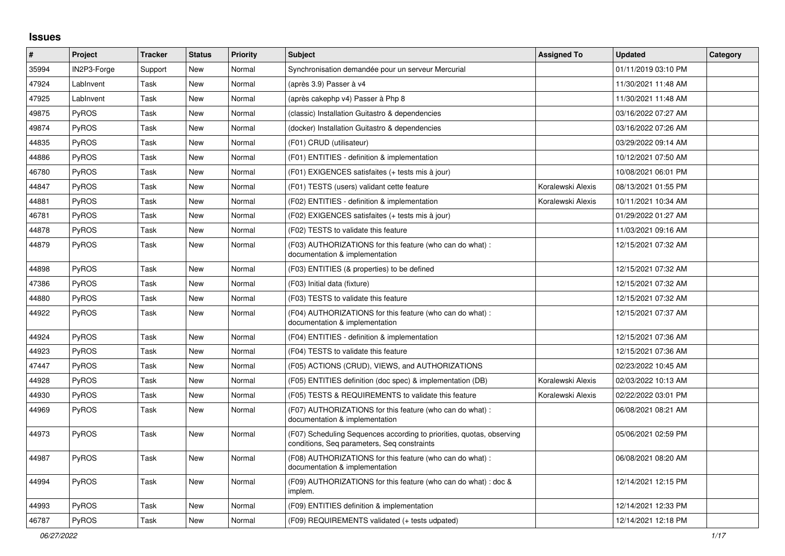## **Issues**

| $\pmb{\#}$ | Project      | <b>Tracker</b> | <b>Status</b> | <b>Priority</b> | <b>Subject</b>                                                                                                       | <b>Assigned To</b> | <b>Updated</b>      | Category |
|------------|--------------|----------------|---------------|-----------------|----------------------------------------------------------------------------------------------------------------------|--------------------|---------------------|----------|
| 35994      | IN2P3-Forge  | Support        | <b>New</b>    | Normal          | Synchronisation demandée pour un serveur Mercurial                                                                   |                    | 01/11/2019 03:10 PM |          |
| 47924      | LabInvent    | Task           | <b>New</b>    | Normal          | (après 3.9) Passer à v4                                                                                              |                    | 11/30/2021 11:48 AM |          |
| 47925      | LabInvent    | Task           | New           | Normal          | (après cakephp v4) Passer à Php 8                                                                                    |                    | 11/30/2021 11:48 AM |          |
| 49875      | <b>PyROS</b> | Task           | New           | Normal          | (classic) Installation Guitastro & dependencies                                                                      |                    | 03/16/2022 07:27 AM |          |
| 49874      | PyROS        | Task           | <b>New</b>    | Normal          | (docker) Installation Guitastro & dependencies                                                                       |                    | 03/16/2022 07:26 AM |          |
| 44835      | PyROS        | Task           | <b>New</b>    | Normal          | (F01) CRUD (utilisateur)                                                                                             |                    | 03/29/2022 09:14 AM |          |
| 44886      | PyROS        | Task           | New           | Normal          | (F01) ENTITIES - definition & implementation                                                                         |                    | 10/12/2021 07:50 AM |          |
| 46780      | <b>PyROS</b> | Task           | <b>New</b>    | Normal          | (F01) EXIGENCES satisfaites (+ tests mis à jour)                                                                     |                    | 10/08/2021 06:01 PM |          |
| 44847      | <b>PyROS</b> | Task           | <b>New</b>    | Normal          | (F01) TESTS (users) validant cette feature                                                                           | Koralewski Alexis  | 08/13/2021 01:55 PM |          |
| 44881      | PyROS        | Task           | New           | Normal          | (F02) ENTITIES - definition & implementation                                                                         | Koralewski Alexis  | 10/11/2021 10:34 AM |          |
| 46781      | <b>PyROS</b> | Task           | New           | Normal          | (F02) EXIGENCES satisfaites (+ tests mis à jour)                                                                     |                    | 01/29/2022 01:27 AM |          |
| 44878      | <b>PyROS</b> | Task           | <b>New</b>    | Normal          | (F02) TESTS to validate this feature                                                                                 |                    | 11/03/2021 09:16 AM |          |
| 44879      | PyROS        | Task           | <b>New</b>    | Normal          | (F03) AUTHORIZATIONS for this feature (who can do what) :<br>documentation & implementation                          |                    | 12/15/2021 07:32 AM |          |
| 44898      | PyROS        | Task           | <b>New</b>    | Normal          | (F03) ENTITIES (& properties) to be defined                                                                          |                    | 12/15/2021 07:32 AM |          |
| 47386      | PyROS        | Task           | <b>New</b>    | Normal          | (F03) Initial data (fixture)                                                                                         |                    | 12/15/2021 07:32 AM |          |
| 44880      | PyROS        | Task           | New           | Normal          | (F03) TESTS to validate this feature                                                                                 |                    | 12/15/2021 07:32 AM |          |
| 44922      | <b>PyROS</b> | Task           | New           | Normal          | (F04) AUTHORIZATIONS for this feature (who can do what):<br>documentation & implementation                           |                    | 12/15/2021 07:37 AM |          |
| 44924      | PyROS        | Task           | New           | Normal          | (F04) ENTITIES - definition & implementation                                                                         |                    | 12/15/2021 07:36 AM |          |
| 44923      | <b>PyROS</b> | Task           | <b>New</b>    | Normal          | (F04) TESTS to validate this feature                                                                                 |                    | 12/15/2021 07:36 AM |          |
| 47447      | <b>PyROS</b> | Task           | <b>New</b>    | Normal          | (F05) ACTIONS (CRUD), VIEWS, and AUTHORIZATIONS                                                                      |                    | 02/23/2022 10:45 AM |          |
| 44928      | PyROS        | Task           | New           | Normal          | (F05) ENTITIES definition (doc spec) & implementation (DB)                                                           | Koralewski Alexis  | 02/03/2022 10:13 AM |          |
| 44930      | <b>PyROS</b> | Task           | New           | Normal          | (F05) TESTS & REQUIREMENTS to validate this feature                                                                  | Koralewski Alexis  | 02/22/2022 03:01 PM |          |
| 44969      | <b>PyROS</b> | Task           | <b>New</b>    | Normal          | (F07) AUTHORIZATIONS for this feature (who can do what) :<br>documentation & implementation                          |                    | 06/08/2021 08:21 AM |          |
| 44973      | <b>PyROS</b> | Task           | <b>New</b>    | Normal          | (F07) Scheduling Sequences according to priorities, quotas, observing<br>conditions, Seq parameters, Seq constraints |                    | 05/06/2021 02:59 PM |          |
| 44987      | PyROS        | Task           | <b>New</b>    | Normal          | (F08) AUTHORIZATIONS for this feature (who can do what) :<br>documentation & implementation                          |                    | 06/08/2021 08:20 AM |          |
| 44994      | PyROS        | Task           | <b>New</b>    | Normal          | (F09) AUTHORIZATIONS for this feature (who can do what) : doc &<br>implem.                                           |                    | 12/14/2021 12:15 PM |          |
| 44993      | <b>PyROS</b> | Task           | New           | Normal          | (F09) ENTITIES definition & implementation                                                                           |                    | 12/14/2021 12:33 PM |          |
| 46787      | PyROS        | Task           | <b>New</b>    | Normal          | (F09) REQUIREMENTS validated (+ tests udpated)                                                                       |                    | 12/14/2021 12:18 PM |          |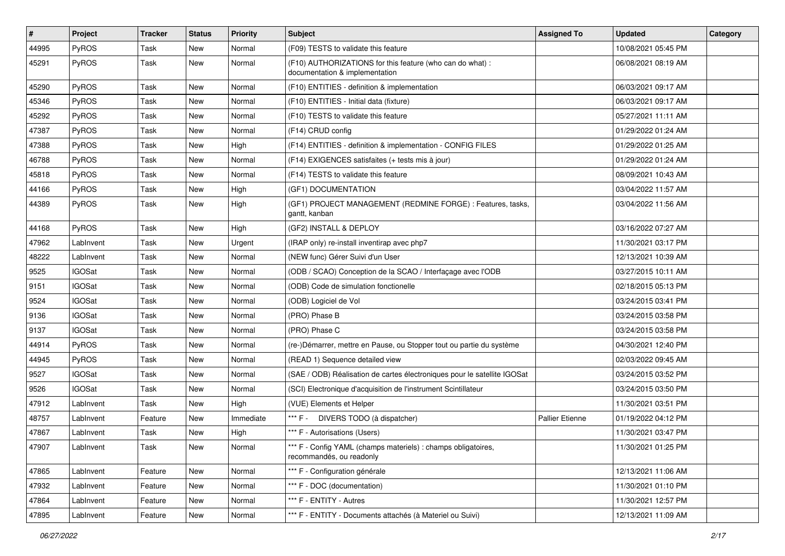| #     | Project       | <b>Tracker</b> | <b>Status</b> | <b>Priority</b> | <b>Subject</b>                                                                              | <b>Assigned To</b>     | <b>Updated</b>      | Category |
|-------|---------------|----------------|---------------|-----------------|---------------------------------------------------------------------------------------------|------------------------|---------------------|----------|
| 44995 | PyROS         | Task           | <b>New</b>    | Normal          | (F09) TESTS to validate this feature                                                        |                        | 10/08/2021 05:45 PM |          |
| 45291 | PyROS         | Task           | New           | Normal          | (F10) AUTHORIZATIONS for this feature (who can do what) :<br>documentation & implementation |                        | 06/08/2021 08:19 AM |          |
| 45290 | PyROS         | Task           | New           | Normal          | (F10) ENTITIES - definition & implementation                                                |                        | 06/03/2021 09:17 AM |          |
| 45346 | PyROS         | Task           | <b>New</b>    | Normal          | (F10) ENTITIES - Initial data (fixture)                                                     |                        | 06/03/2021 09:17 AM |          |
| 45292 | <b>PyROS</b>  | Task           | New           | Normal          | (F10) TESTS to validate this feature                                                        |                        | 05/27/2021 11:11 AM |          |
| 47387 | PyROS         | Task           | <b>New</b>    | Normal          | (F14) CRUD config                                                                           |                        | 01/29/2022 01:24 AM |          |
| 47388 | PyROS         | Task           | New           | High            | (F14) ENTITIES - definition & implementation - CONFIG FILES                                 |                        | 01/29/2022 01:25 AM |          |
| 46788 | PyROS         | Task           | <b>New</b>    | Normal          | (F14) EXIGENCES satisfaites (+ tests mis à jour)                                            |                        | 01/29/2022 01:24 AM |          |
| 45818 | PyROS         | Task           | <b>New</b>    | Normal          | (F14) TESTS to validate this feature                                                        |                        | 08/09/2021 10:43 AM |          |
| 44166 | <b>PyROS</b>  | Task           | New           | High            | (GF1) DOCUMENTATION                                                                         |                        | 03/04/2022 11:57 AM |          |
| 44389 | PyROS         | Task           | <b>New</b>    | High            | (GF1) PROJECT MANAGEMENT (REDMINE FORGE) : Features, tasks,<br>gantt, kanban                |                        | 03/04/2022 11:56 AM |          |
| 44168 | <b>PyROS</b>  | Task           | <b>New</b>    | High            | (GF2) INSTALL & DEPLOY                                                                      |                        | 03/16/2022 07:27 AM |          |
| 47962 | LabInvent     | Task           | <b>New</b>    | Urgent          | (IRAP only) re-install inventirap avec php7                                                 |                        | 11/30/2021 03:17 PM |          |
| 48222 | LabInvent     | Task           | New           | Normal          | (NEW func) Gérer Suivi d'un User                                                            |                        | 12/13/2021 10:39 AM |          |
| 9525  | <b>IGOSat</b> | Task           | <b>New</b>    | Normal          | (ODB / SCAO) Conception de la SCAO / Interfaçage avec l'ODB                                 |                        | 03/27/2015 10:11 AM |          |
| 9151  | <b>IGOSat</b> | Task           | <b>New</b>    | Normal          | (ODB) Code de simulation fonctionelle                                                       |                        | 02/18/2015 05:13 PM |          |
| 9524  | <b>IGOSat</b> | Task           | New           | Normal          | (ODB) Logiciel de Vol                                                                       |                        | 03/24/2015 03:41 PM |          |
| 9136  | <b>IGOSat</b> | Task           | <b>New</b>    | Normal          | (PRO) Phase B                                                                               |                        | 03/24/2015 03:58 PM |          |
| 9137  | <b>IGOSat</b> | Task           | New           | Normal          | (PRO) Phase C                                                                               |                        | 03/24/2015 03:58 PM |          |
| 44914 | PyROS         | Task           | New           | Normal          | (re-)Démarrer, mettre en Pause, ou Stopper tout ou partie du système                        |                        | 04/30/2021 12:40 PM |          |
| 44945 | <b>PyROS</b>  | Task           | <b>New</b>    | Normal          | (READ 1) Sequence detailed view                                                             |                        | 02/03/2022 09:45 AM |          |
| 9527  | <b>IGOSat</b> | Task           | New           | Normal          | (SAE / ODB) Réalisation de cartes électroniques pour le satellite IGOSat                    |                        | 03/24/2015 03:52 PM |          |
| 9526  | <b>IGOSat</b> | Task           | <b>New</b>    | Normal          | (SCI) Electronique d'acquisition de l'instrument Scintillateur                              |                        | 03/24/2015 03:50 PM |          |
| 47912 | LabInvent     | Task           | New           | High            | (VUE) Elements et Helper                                                                    |                        | 11/30/2021 03:51 PM |          |
| 48757 | LabInvent     | Feature        | <b>New</b>    | Immediate       | *** F - DIVERS TODO (à dispatcher)                                                          | <b>Pallier Etienne</b> | 01/19/2022 04:12 PM |          |
| 47867 | LabInvent     | Task           | <b>New</b>    | High            | *** F - Autorisations (Users)                                                               |                        | 11/30/2021 03:47 PM |          |
| 47907 | LabInvent     | Task           | New           | Normal          | *** F - Config YAML (champs materiels) : champs obligatoires,<br>recommandés, ou readonly   |                        | 11/30/2021 01:25 PM |          |
| 47865 | LabInvent     | Feature        | New           | Normal          | *** F - Configuration générale                                                              |                        | 12/13/2021 11:06 AM |          |
| 47932 | LabInvent     | Feature        | New           | Normal          | *** F - DOC (documentation)                                                                 |                        | 11/30/2021 01:10 PM |          |
| 47864 | LabInvent     | Feature        | New           | Normal          | *** F - ENTITY - Autres                                                                     |                        | 11/30/2021 12:57 PM |          |
| 47895 | LabInvent     | Feature        | New           | Normal          | *** F - ENTITY - Documents attachés (à Materiel ou Suivi)                                   |                        | 12/13/2021 11:09 AM |          |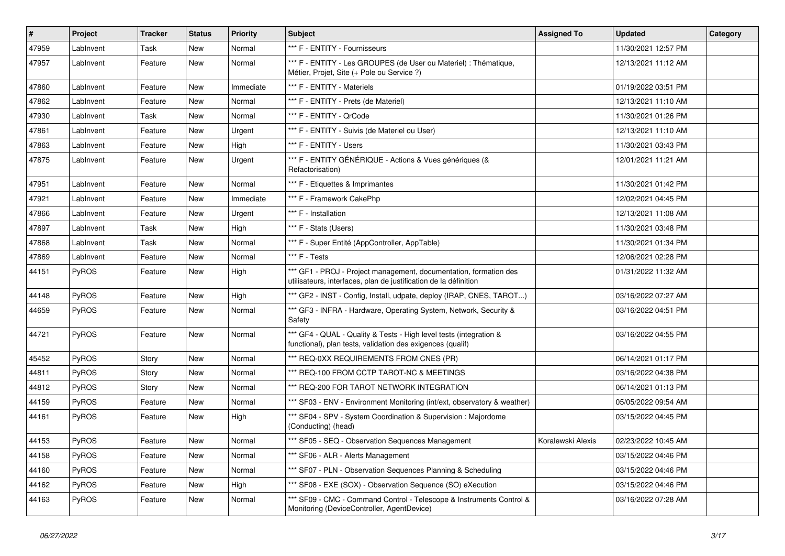| #     | Project      | <b>Tracker</b> | <b>Status</b> | <b>Priority</b> | <b>Subject</b>                                                                                                                        | <b>Assigned To</b> | <b>Updated</b>      | Category |
|-------|--------------|----------------|---------------|-----------------|---------------------------------------------------------------------------------------------------------------------------------------|--------------------|---------------------|----------|
| 47959 | LabInvent    | Task           | <b>New</b>    | Normal          | *** F - ENTITY - Fournisseurs                                                                                                         |                    | 11/30/2021 12:57 PM |          |
| 47957 | LabInvent    | Feature        | New           | Normal          | *** F - ENTITY - Les GROUPES (de User ou Materiel) : Thématique,<br>Métier, Projet, Site (+ Pole ou Service ?)                        |                    | 12/13/2021 11:12 AM |          |
| 47860 | LabInvent    | Feature        | New           | Immediate       | *** F - ENTITY - Materiels                                                                                                            |                    | 01/19/2022 03:51 PM |          |
| 47862 | LabInvent    | Feature        | <b>New</b>    | Normal          | *** F - ENTITY - Prets (de Materiel)                                                                                                  |                    | 12/13/2021 11:10 AM |          |
| 47930 | LabInvent    | Task           | <b>New</b>    | Normal          | *** F - ENTITY - QrCode                                                                                                               |                    | 11/30/2021 01:26 PM |          |
| 47861 | LabInvent    | Feature        | <b>New</b>    | Urgent          | *** F - ENTITY - Suivis (de Materiel ou User)                                                                                         |                    | 12/13/2021 11:10 AM |          |
| 47863 | LabInvent    | Feature        | New           | High            | *** F - ENTITY - Users                                                                                                                |                    | 11/30/2021 03:43 PM |          |
| 47875 | LabInvent    | Feature        | New           | Urgent          | *** F - ENTITY GÉNÉRIQUE - Actions & Vues génériques (&<br>Refactorisation)                                                           |                    | 12/01/2021 11:21 AM |          |
| 47951 | LabInvent    | Feature        | <b>New</b>    | Normal          | *** F - Etiquettes & Imprimantes                                                                                                      |                    | 11/30/2021 01:42 PM |          |
| 47921 | LabInvent    | Feature        | <b>New</b>    | Immediate       | *** F - Framework CakePhp                                                                                                             |                    | 12/02/2021 04:45 PM |          |
| 47866 | LabInvent    | Feature        | New           | Urgent          | *** F - Installation                                                                                                                  |                    | 12/13/2021 11:08 AM |          |
| 47897 | LabInvent    | Task           | <b>New</b>    | High            | *** F - Stats (Users)                                                                                                                 |                    | 11/30/2021 03:48 PM |          |
| 47868 | LabInvent    | Task           | New           | Normal          | *** F - Super Entité (AppController, AppTable)                                                                                        |                    | 11/30/2021 01:34 PM |          |
| 47869 | LabInvent    | Feature        | <b>New</b>    | Normal          | *** F - Tests                                                                                                                         |                    | 12/06/2021 02:28 PM |          |
| 44151 | PyROS        | Feature        | New           | High            | *** GF1 - PROJ - Project management, documentation, formation des<br>utilisateurs, interfaces, plan de justification de la définition |                    | 01/31/2022 11:32 AM |          |
| 44148 | <b>PyROS</b> | Feature        | New           | High            | *** GF2 - INST - Config, Install, udpate, deploy (IRAP, CNES, TAROT)                                                                  |                    | 03/16/2022 07:27 AM |          |
| 44659 | PyROS        | Feature        | New           | Normal          | *** GF3 - INFRA - Hardware, Operating System, Network, Security &<br>Safety                                                           |                    | 03/16/2022 04:51 PM |          |
| 44721 | PyROS        | Feature        | New           | Normal          | *** GF4 - QUAL - Quality & Tests - High level tests (integration &<br>functional), plan tests, validation des exigences (qualif)      |                    | 03/16/2022 04:55 PM |          |
| 45452 | PyROS        | Story          | New           | Normal          | *** REQ-0XX REQUIREMENTS FROM CNES (PR)                                                                                               |                    | 06/14/2021 01:17 PM |          |
| 44811 | PyROS        | Story          | New           | Normal          | *** REQ-100 FROM CCTP TAROT-NC & MEETINGS                                                                                             |                    | 03/16/2022 04:38 PM |          |
| 44812 | PyROS        | Story          | New           | Normal          | *** REQ-200 FOR TAROT NETWORK INTEGRATION                                                                                             |                    | 06/14/2021 01:13 PM |          |
| 44159 | PyROS        | Feature        | New           | Normal          | *** SF03 - ENV - Environment Monitoring (int/ext, observatory & weather)                                                              |                    | 05/05/2022 09:54 AM |          |
| 44161 | PyROS        | Feature        | <b>New</b>    | High            | *** SF04 - SPV - System Coordination & Supervision : Majordome<br>(Conducting) (head)                                                 |                    | 03/15/2022 04:45 PM |          |
| 44153 | <b>PyROS</b> | Feature        | <b>New</b>    | Normal          | *** SF05 - SEQ - Observation Sequences Management                                                                                     | Koralewski Alexis  | 02/23/2022 10:45 AM |          |
| 44158 | PyROS        | Feature        | New           | Normal          | *** SF06 - ALR - Alerts Management                                                                                                    |                    | 03/15/2022 04:46 PM |          |
| 44160 | PyROS        | Feature        | New           | Normal          | *** SF07 - PLN - Observation Sequences Planning & Scheduling                                                                          |                    | 03/15/2022 04:46 PM |          |
| 44162 | PyROS        | Feature        | New           | High            | *** SF08 - EXE (SOX) - Observation Sequence (SO) eXecution                                                                            |                    | 03/15/2022 04:46 PM |          |
| 44163 | PyROS        | Feature        | New           | Normal          | *** SF09 - CMC - Command Control - Telescope & Instruments Control &<br>Monitoring (DeviceController, AgentDevice)                    |                    | 03/16/2022 07:28 AM |          |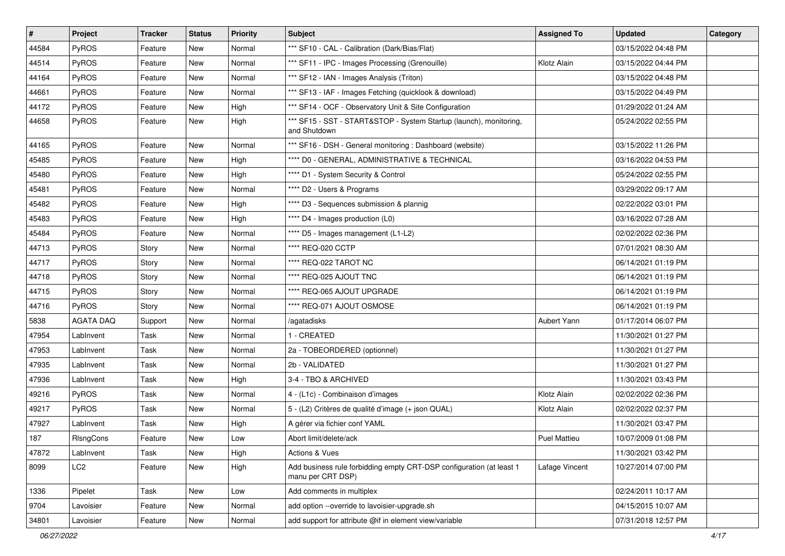| $\vert$ # | Project          | <b>Tracker</b> | <b>Status</b> | <b>Priority</b> | <b>Subject</b>                                                                            | <b>Assigned To</b>  | <b>Updated</b>      | Category |
|-----------|------------------|----------------|---------------|-----------------|-------------------------------------------------------------------------------------------|---------------------|---------------------|----------|
| 44584     | PyROS            | Feature        | New           | Normal          | *** SF10 - CAL - Calibration (Dark/Bias/Flat)                                             |                     | 03/15/2022 04:48 PM |          |
| 44514     | PyROS            | Feature        | New           | Normal          | *** SF11 - IPC - Images Processing (Grenouille)                                           | Klotz Alain         | 03/15/2022 04:44 PM |          |
| 44164     | <b>PyROS</b>     | Feature        | New           | Normal          | *** SF12 - IAN - Images Analysis (Triton)                                                 |                     | 03/15/2022 04:48 PM |          |
| 44661     | PyROS            | Feature        | New           | Normal          | *** SF13 - IAF - Images Fetching (quicklook & download)                                   |                     | 03/15/2022 04:49 PM |          |
| 44172     | PyROS            | Feature        | New           | High            | *** SF14 - OCF - Observatory Unit & Site Configuration                                    |                     | 01/29/2022 01:24 AM |          |
| 44658     | PyROS            | Feature        | New           | High            | *** SF15 - SST - START&STOP - System Startup (launch), monitoring,<br>and Shutdown        |                     | 05/24/2022 02:55 PM |          |
| 44165     | PyROS            | Feature        | New           | Normal          | *** SF16 - DSH - General monitoring : Dashboard (website)                                 |                     | 03/15/2022 11:26 PM |          |
| 45485     | PyROS            | Feature        | New           | High            | **** D0 - GENERAL, ADMINISTRATIVE & TECHNICAL                                             |                     | 03/16/2022 04:53 PM |          |
| 45480     | PyROS            | Feature        | New           | High            | **** D1 - System Security & Control                                                       |                     | 05/24/2022 02:55 PM |          |
| 45481     | PyROS            | Feature        | New           | Normal          | **** D2 - Users & Programs                                                                |                     | 03/29/2022 09:17 AM |          |
| 45482     | PyROS            | Feature        | New           | High            | **** D3 - Sequences submission & plannig                                                  |                     | 02/22/2022 03:01 PM |          |
| 45483     | PyROS            | Feature        | New           | High            | **** D4 - Images production (L0)                                                          |                     | 03/16/2022 07:28 AM |          |
| 45484     | PyROS            | Feature        | New           | Normal          | **** D5 - Images management (L1-L2)                                                       |                     | 02/02/2022 02:36 PM |          |
| 44713     | PyROS            | Story          | New           | Normal          | **** REQ-020 CCTP                                                                         |                     | 07/01/2021 08:30 AM |          |
| 44717     | PyROS            | Story          | New           | Normal          | **** REQ-022 TAROT NC                                                                     |                     | 06/14/2021 01:19 PM |          |
| 44718     | PyROS            | Story          | New           | Normal          | **** REQ-025 AJOUT TNC                                                                    |                     | 06/14/2021 01:19 PM |          |
| 44715     | PyROS            | Story          | New           | Normal          | **** REQ-065 AJOUT UPGRADE                                                                |                     | 06/14/2021 01:19 PM |          |
| 44716     | PyROS            | Story          | New           | Normal          | **** REQ-071 AJOUT OSMOSE                                                                 |                     | 06/14/2021 01:19 PM |          |
| 5838      | <b>AGATA DAQ</b> | Support        | New           | Normal          | /agatadisks                                                                               | Aubert Yann         | 01/17/2014 06:07 PM |          |
| 47954     | LabInvent        | Task           | New           | Normal          | 1 - CREATED                                                                               |                     | 11/30/2021 01:27 PM |          |
| 47953     | LabInvent        | Task           | New           | Normal          | 2a - TOBEORDERED (optionnel)                                                              |                     | 11/30/2021 01:27 PM |          |
| 47935     | LabInvent        | Task           | New           | Normal          | 2b - VALIDATED                                                                            |                     | 11/30/2021 01:27 PM |          |
| 47936     | LabInvent        | Task           | New           | High            | 3-4 - TBO & ARCHIVED                                                                      |                     | 11/30/2021 03:43 PM |          |
| 49216     | PyROS            | Task           | New           | Normal          | 4 - (L1c) - Combinaison d'images                                                          | Klotz Alain         | 02/02/2022 02:36 PM |          |
| 49217     | PyROS            | Task           | New           | Normal          | 5 - (L2) Critères de qualité d'image (+ json QUAL)                                        | Klotz Alain         | 02/02/2022 02:37 PM |          |
| 47927     | LabInvent        | Task           | New           | High            | A gérer via fichier conf YAML                                                             |                     | 11/30/2021 03:47 PM |          |
| 187       | RIsngCons        | Feature        | New           | Low             | Abort limit/delete/ack                                                                    | <b>Puel Mattieu</b> | 10/07/2009 01:08 PM |          |
| 47872     | LabInvent        | Task           | New           | High            | Actions & Vues                                                                            |                     | 11/30/2021 03:42 PM |          |
| 8099      | LC <sub>2</sub>  | Feature        | New           | High            | Add business rule forbidding empty CRT-DSP configuration (at least 1<br>manu per CRT DSP) | Lafage Vincent      | 10/27/2014 07:00 PM |          |
| 1336      | Pipelet          | Task           | New           | Low             | Add comments in multiplex                                                                 |                     | 02/24/2011 10:17 AM |          |
| 9704      | Lavoisier        | Feature        | New           | Normal          | add option --override to lavoisier-upgrade.sh                                             |                     | 04/15/2015 10:07 AM |          |
| 34801     | Lavoisier        | Feature        | New           | Normal          | add support for attribute @if in element view/variable                                    |                     | 07/31/2018 12:57 PM |          |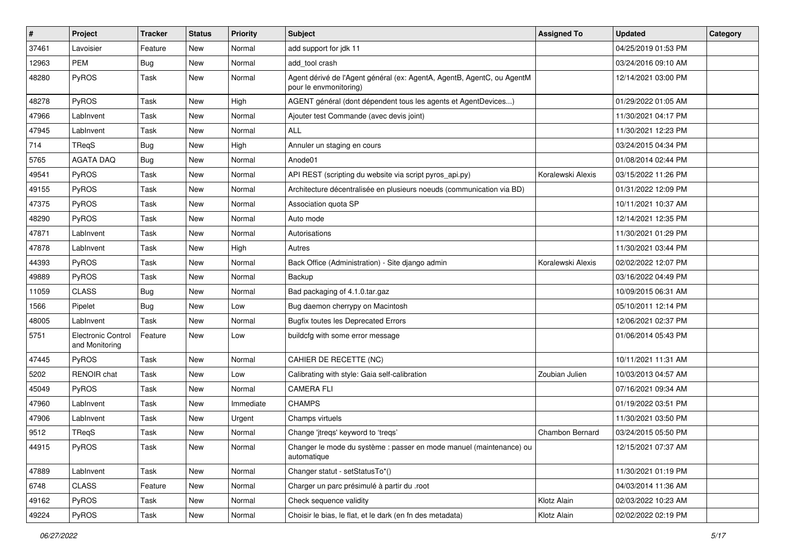| $\vert$ # | Project                              | <b>Tracker</b> | <b>Status</b> | <b>Priority</b> | <b>Subject</b>                                                                                   | <b>Assigned To</b> | <b>Updated</b>      | Category |
|-----------|--------------------------------------|----------------|---------------|-----------------|--------------------------------------------------------------------------------------------------|--------------------|---------------------|----------|
| 37461     | Lavoisier                            | Feature        | New           | Normal          | add support for jdk 11                                                                           |                    | 04/25/2019 01:53 PM |          |
| 12963     | <b>PEM</b>                           | <b>Bug</b>     | New           | Normal          | add_tool crash                                                                                   |                    | 03/24/2016 09:10 AM |          |
| 48280     | PyROS                                | Task           | New           | Normal          | Agent dérivé de l'Agent général (ex: AgentA, AgentB, AgentC, ou AgentM<br>pour le envmonitoring) |                    | 12/14/2021 03:00 PM |          |
| 48278     | PyROS                                | Task           | <b>New</b>    | High            | AGENT général (dont dépendent tous les agents et AgentDevices)                                   |                    | 01/29/2022 01:05 AM |          |
| 47966     | LabInvent                            | Task           | New           | Normal          | Ajouter test Commande (avec devis joint)                                                         |                    | 11/30/2021 04:17 PM |          |
| 47945     | LabInvent                            | Task           | <b>New</b>    | Normal          | <b>ALL</b>                                                                                       |                    | 11/30/2021 12:23 PM |          |
| 714       | <b>TReqS</b>                         | <b>Bug</b>     | New           | High            | Annuler un staging en cours                                                                      |                    | 03/24/2015 04:34 PM |          |
| 5765      | <b>AGATA DAQ</b>                     | Bug            | New           | Normal          | Anode01                                                                                          |                    | 01/08/2014 02:44 PM |          |
| 49541     | PyROS                                | Task           | <b>New</b>    | Normal          | API REST (scripting du website via script pyros_api.py)                                          | Koralewski Alexis  | 03/15/2022 11:26 PM |          |
| 49155     | <b>PyROS</b>                         | Task           | New           | Normal          | Architecture décentralisée en plusieurs noeuds (communication via BD)                            |                    | 01/31/2022 12:09 PM |          |
| 47375     | PyROS                                | Task           | <b>New</b>    | Normal          | Association quota SP                                                                             |                    | 10/11/2021 10:37 AM |          |
| 48290     | PyROS                                | Task           | New           | Normal          | Auto mode                                                                                        |                    | 12/14/2021 12:35 PM |          |
| 47871     | LabInvent                            | Task           | New           | Normal          | Autorisations                                                                                    |                    | 11/30/2021 01:29 PM |          |
| 47878     | LabInvent                            | Task           | <b>New</b>    | High            | Autres                                                                                           |                    | 11/30/2021 03:44 PM |          |
| 44393     | PyROS                                | Task           | New           | Normal          | Back Office (Administration) - Site diango admin                                                 | Koralewski Alexis  | 02/02/2022 12:07 PM |          |
| 49889     | PyROS                                | Task           | New           | Normal          | Backup                                                                                           |                    | 03/16/2022 04:49 PM |          |
| 11059     | <b>CLASS</b>                         | <b>Bug</b>     | New           | Normal          | Bad packaging of 4.1.0.tar.gaz                                                                   |                    | 10/09/2015 06:31 AM |          |
| 1566      | Pipelet                              | <b>Bug</b>     | New           | Low             | Bug daemon cherrypy on Macintosh                                                                 |                    | 05/10/2011 12:14 PM |          |
| 48005     | LabInvent                            | Task           | <b>New</b>    | Normal          | <b>Bugfix toutes les Deprecated Errors</b>                                                       |                    | 12/06/2021 02:37 PM |          |
| 5751      | Electronic Control<br>and Monitoring | Feature        | New           | Low             | buildcfg with some error message                                                                 |                    | 01/06/2014 05:43 PM |          |
| 47445     | PyROS                                | Task           | <b>New</b>    | Normal          | CAHIER DE RECETTE (NC)                                                                           |                    | 10/11/2021 11:31 AM |          |
| 5202      | <b>RENOIR</b> chat                   | Task           | New           | Low             | Calibrating with style: Gaia self-calibration                                                    | Zoubian Julien     | 10/03/2013 04:57 AM |          |
| 45049     | PyROS                                | Task           | New           | Normal          | <b>CAMERA FLI</b>                                                                                |                    | 07/16/2021 09:34 AM |          |
| 47960     | LabInvent                            | Task           | <b>New</b>    | Immediate       | <b>CHAMPS</b>                                                                                    |                    | 01/19/2022 03:51 PM |          |
| 47906     | LabInvent                            | Task           | New           | Urgent          | Champs virtuels                                                                                  |                    | 11/30/2021 03:50 PM |          |
| 9512      | TReqS                                | Task           | New           | Normal          | Change 'jtregs' keyword to 'tregs'                                                               | Chambon Bernard    | 03/24/2015 05:50 PM |          |
| 44915     | PyROS                                | Task           | New           | Normal          | Changer le mode du système : passer en mode manuel (maintenance) ou<br>automatique               |                    | 12/15/2021 07:37 AM |          |
| 47889     | LabInvent                            | Task           | New           | Normal          | Changer statut - setStatusTo*()                                                                  |                    | 11/30/2021 01:19 PM |          |
| 6748      | <b>CLASS</b>                         | Feature        | New           | Normal          | Charger un parc présimulé à partir du .root                                                      |                    | 04/03/2014 11:36 AM |          |
| 49162     | PyROS                                | Task           | New           | Normal          | Check sequence validity                                                                          | Klotz Alain        | 02/03/2022 10:23 AM |          |
| 49224     | PyROS                                | Task           | New           | Normal          | Choisir le bias, le flat, et le dark (en fn des metadata)                                        | Klotz Alain        | 02/02/2022 02:19 PM |          |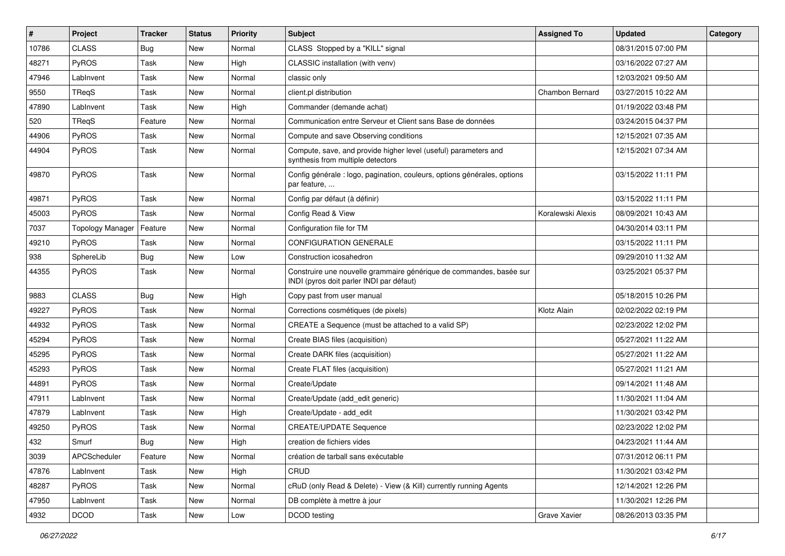| #     | Project                 | <b>Tracker</b> | <b>Status</b> | <b>Priority</b> | <b>Subject</b>                                                                                                  | <b>Assigned To</b> | <b>Updated</b>      | Category |
|-------|-------------------------|----------------|---------------|-----------------|-----------------------------------------------------------------------------------------------------------------|--------------------|---------------------|----------|
| 10786 | <b>CLASS</b>            | <b>Bug</b>     | <b>New</b>    | Normal          | CLASS Stopped by a "KILL" signal                                                                                |                    | 08/31/2015 07:00 PM |          |
| 48271 | PyROS                   | Task           | New           | High            | CLASSIC installation (with venv)                                                                                |                    | 03/16/2022 07:27 AM |          |
| 47946 | LabInvent               | Task           | New           | Normal          | classic only                                                                                                    |                    | 12/03/2021 09:50 AM |          |
| 9550  | TReqS                   | Task           | <b>New</b>    | Normal          | client.pl distribution                                                                                          | Chambon Bernard    | 03/27/2015 10:22 AM |          |
| 47890 | LabInvent               | Task           | New           | High            | Commander (demande achat)                                                                                       |                    | 01/19/2022 03:48 PM |          |
| 520   | TReqS                   | Feature        | <b>New</b>    | Normal          | Communication entre Serveur et Client sans Base de données                                                      |                    | 03/24/2015 04:37 PM |          |
| 44906 | PyROS                   | Task           | <b>New</b>    | Normal          | Compute and save Observing conditions                                                                           |                    | 12/15/2021 07:35 AM |          |
| 44904 | <b>PyROS</b>            | Task           | New           | Normal          | Compute, save, and provide higher level (useful) parameters and<br>synthesis from multiple detectors            |                    | 12/15/2021 07:34 AM |          |
| 49870 | PyROS                   | Task           | New           | Normal          | Config générale : logo, pagination, couleurs, options générales, options<br>par feature,                        |                    | 03/15/2022 11:11 PM |          |
| 49871 | <b>PyROS</b>            | Task           | <b>New</b>    | Normal          | Config par défaut (à définir)                                                                                   |                    | 03/15/2022 11:11 PM |          |
| 45003 | <b>PyROS</b>            | <b>Task</b>    | New           | Normal          | Config Read & View                                                                                              | Koralewski Alexis  | 08/09/2021 10:43 AM |          |
| 7037  | <b>Topology Manager</b> | Feature        | New           | Normal          | Configuration file for TM                                                                                       |                    | 04/30/2014 03:11 PM |          |
| 49210 | PyROS                   | Task           | <b>New</b>    | Normal          | CONFIGURATION GENERALE                                                                                          |                    | 03/15/2022 11:11 PM |          |
| 938   | SphereLib               | <b>Bug</b>     | New           | Low             | Construction icosahedron                                                                                        |                    | 09/29/2010 11:32 AM |          |
| 44355 | <b>PyROS</b>            | Task           | New           | Normal          | Construire une nouvelle grammaire générique de commandes, basée sur<br>INDI (pyros doit parler INDI par défaut) |                    | 03/25/2021 05:37 PM |          |
| 9883  | <b>CLASS</b>            | <b>Bug</b>     | New           | High            | Copy past from user manual                                                                                      |                    | 05/18/2015 10:26 PM |          |
| 49227 | <b>PyROS</b>            | Task           | <b>New</b>    | Normal          | Corrections cosmétiques (de pixels)                                                                             | Klotz Alain        | 02/02/2022 02:19 PM |          |
| 44932 | <b>PyROS</b>            | Task           | New           | Normal          | CREATE a Sequence (must be attached to a valid SP)                                                              |                    | 02/23/2022 12:02 PM |          |
| 45294 | <b>PyROS</b>            | Task           | <b>New</b>    | Normal          | Create BIAS files (acquisition)                                                                                 |                    | 05/27/2021 11:22 AM |          |
| 45295 | PyROS                   | Task           | <b>New</b>    | Normal          | Create DARK files (acquisition)                                                                                 |                    | 05/27/2021 11:22 AM |          |
| 45293 | PyROS                   | Task           | <b>New</b>    | Normal          | Create FLAT files (acquisition)                                                                                 |                    | 05/27/2021 11:21 AM |          |
| 44891 | PyROS                   | Task           | New           | Normal          | Create/Update                                                                                                   |                    | 09/14/2021 11:48 AM |          |
| 47911 | LabInvent               | Task           | New           | Normal          | Create/Update (add edit generic)                                                                                |                    | 11/30/2021 11:04 AM |          |
| 47879 | LabInvent               | Task           | New           | High            | Create/Update - add_edit                                                                                        |                    | 11/30/2021 03:42 PM |          |
| 49250 | PyROS                   | Task           | New           | Normal          | <b>CREATE/UPDATE Sequence</b>                                                                                   |                    | 02/23/2022 12:02 PM |          |
| 432   | Smurf                   | Bug            | New           | High            | creation de fichiers vides                                                                                      |                    | 04/23/2021 11:44 AM |          |
| 3039  | <b>APCScheduler</b>     | Feature        | New           | Normal          | création de tarball sans exécutable                                                                             |                    | 07/31/2012 06:11 PM |          |
| 47876 | LabInvent               | Task           | New           | High            | CRUD                                                                                                            |                    | 11/30/2021 03:42 PM |          |
| 48287 | PyROS                   | Task           | New           | Normal          | cRuD (only Read & Delete) - View (& Kill) currently running Agents                                              |                    | 12/14/2021 12:26 PM |          |
| 47950 | LabInvent               | Task           | New           | Normal          | DB complète à mettre à jour                                                                                     |                    | 11/30/2021 12:26 PM |          |
| 4932  | <b>DCOD</b>             | Task           | New           | Low             | DCOD testing                                                                                                    | Grave Xavier       | 08/26/2013 03:35 PM |          |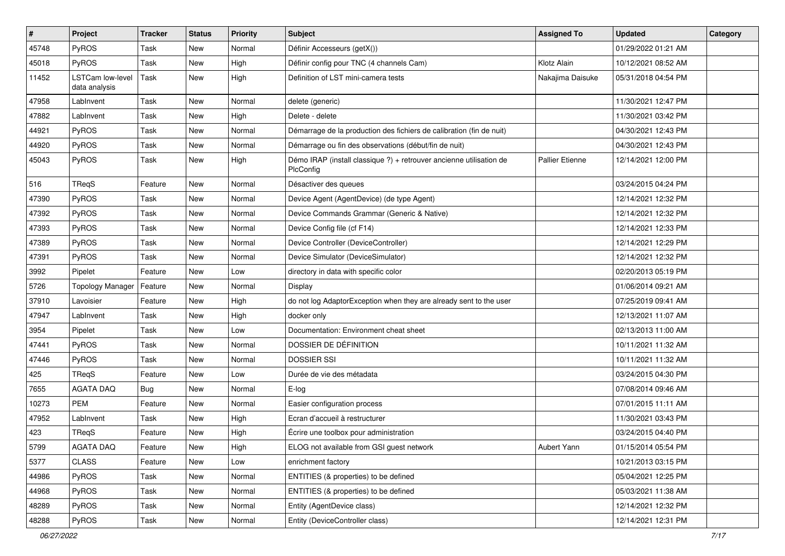| #     | Project                                  | <b>Tracker</b> | <b>Status</b> | <b>Priority</b> | <b>Subject</b>                                                                   | <b>Assigned To</b>     | <b>Updated</b>      | Category |
|-------|------------------------------------------|----------------|---------------|-----------------|----------------------------------------------------------------------------------|------------------------|---------------------|----------|
| 45748 | <b>PyROS</b>                             | Task           | <b>New</b>    | Normal          | Définir Accesseurs (getX())                                                      |                        | 01/29/2022 01:21 AM |          |
| 45018 | PyROS                                    | Task           | New           | High            | Définir config pour TNC (4 channels Cam)                                         | Klotz Alain            | 10/12/2021 08:52 AM |          |
| 11452 | <b>LSTCam low-level</b><br>data analysis | Task           | New           | High            | Definition of LST mini-camera tests                                              | Nakajima Daisuke       | 05/31/2018 04:54 PM |          |
| 47958 | LabInvent                                | Task           | <b>New</b>    | Normal          | delete (generic)                                                                 |                        | 11/30/2021 12:47 PM |          |
| 47882 | LabInvent                                | Task           | New           | High            | Delete - delete                                                                  |                        | 11/30/2021 03:42 PM |          |
| 44921 | PyROS                                    | Task           | <b>New</b>    | Normal          | Démarrage de la production des fichiers de calibration (fin de nuit)             |                        | 04/30/2021 12:43 PM |          |
| 44920 | PyROS                                    | Task           | New           | Normal          | Démarrage ou fin des observations (début/fin de nuit)                            |                        | 04/30/2021 12:43 PM |          |
| 45043 | PyROS                                    | Task           | New           | High            | Démo IRAP (install classique ?) + retrouver ancienne utilisation de<br>PlcConfig | <b>Pallier Etienne</b> | 12/14/2021 12:00 PM |          |
| 516   | TReqS                                    | Feature        | <b>New</b>    | Normal          | Désactiver des queues                                                            |                        | 03/24/2015 04:24 PM |          |
| 47390 | PyROS                                    | Task           | <b>New</b>    | Normal          | Device Agent (AgentDevice) (de type Agent)                                       |                        | 12/14/2021 12:32 PM |          |
| 47392 | PyROS                                    | Task           | <b>New</b>    | Normal          | Device Commands Grammar (Generic & Native)                                       |                        | 12/14/2021 12:32 PM |          |
| 47393 | <b>PyROS</b>                             | Task           | <b>New</b>    | Normal          | Device Config file (cf F14)                                                      |                        | 12/14/2021 12:33 PM |          |
| 47389 | PyROS                                    | Task           | <b>New</b>    | Normal          | Device Controller (DeviceController)                                             |                        | 12/14/2021 12:29 PM |          |
| 47391 | <b>PyROS</b>                             | Task           | New           | Normal          | Device Simulator (DeviceSimulator)                                               |                        | 12/14/2021 12:32 PM |          |
| 3992  | Pipelet                                  | Feature        | <b>New</b>    | Low             | directory in data with specific color                                            |                        | 02/20/2013 05:19 PM |          |
| 5726  | <b>Topology Manager</b>                  | Feature        | New           | Normal          | Display                                                                          |                        | 01/06/2014 09:21 AM |          |
| 37910 | Lavoisier                                | Feature        | New           | High            | do not log AdaptorException when they are already sent to the user               |                        | 07/25/2019 09:41 AM |          |
| 47947 | LabInvent                                | Task           | <b>New</b>    | High            | docker only                                                                      |                        | 12/13/2021 11:07 AM |          |
| 3954  | Pipelet                                  | Task           | New           | Low             | Documentation: Environment cheat sheet                                           |                        | 02/13/2013 11:00 AM |          |
| 47441 | PyROS                                    | Task           | New           | Normal          | DOSSIER DE DÉFINITION                                                            |                        | 10/11/2021 11:32 AM |          |
| 47446 | PyROS                                    | Task           | <b>New</b>    | Normal          | <b>DOSSIER SSI</b>                                                               |                        | 10/11/2021 11:32 AM |          |
| 425   | TReqS                                    | Feature        | New           | Low             | Durée de vie des métadata                                                        |                        | 03/24/2015 04:30 PM |          |
| 7655  | <b>AGATA DAQ</b>                         | Bug            | <b>New</b>    | Normal          | E-log                                                                            |                        | 07/08/2014 09:46 AM |          |
| 10273 | <b>PEM</b>                               | Feature        | New           | Normal          | Easier configuration process                                                     |                        | 07/01/2015 11:11 AM |          |
| 47952 | LabInvent                                | Task           | New           | High            | Ecran d'accueil à restructurer                                                   |                        | 11/30/2021 03:43 PM |          |
| 423   | TReqS                                    | Feature        | <b>New</b>    | High            | Écrire une toolbox pour administration                                           |                        | 03/24/2015 04:40 PM |          |
| 5799  | AGATA DAQ                                | Feature        | New           | High            | ELOG not available from GSI guest network                                        | Aubert Yann            | 01/15/2014 05:54 PM |          |
| 5377  | <b>CLASS</b>                             | Feature        | New           | Low             | enrichment factory                                                               |                        | 10/21/2013 03:15 PM |          |
| 44986 | PyROS                                    | Task           | New           | Normal          | ENTITIES (& properties) to be defined                                            |                        | 05/04/2021 12:25 PM |          |
| 44968 | PyROS                                    | Task           | New           | Normal          | ENTITIES (& properties) to be defined                                            |                        | 05/03/2021 11:38 AM |          |
| 48289 | PyROS                                    | Task           | New           | Normal          | Entity (AgentDevice class)                                                       |                        | 12/14/2021 12:32 PM |          |
| 48288 | PyROS                                    | Task           | New           | Normal          | Entity (DeviceController class)                                                  |                        | 12/14/2021 12:31 PM |          |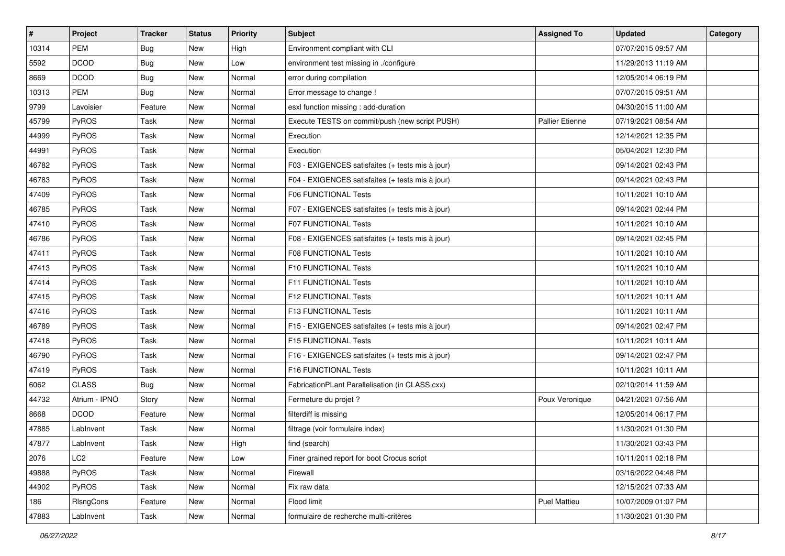| #     | Project       | <b>Tracker</b> | <b>Status</b> | <b>Priority</b> | <b>Subject</b>                                   | <b>Assigned To</b>  | <b>Updated</b>      | Category |
|-------|---------------|----------------|---------------|-----------------|--------------------------------------------------|---------------------|---------------------|----------|
| 10314 | <b>PEM</b>    | <b>Bug</b>     | New           | High            | Environment compliant with CLI                   |                     | 07/07/2015 09:57 AM |          |
| 5592  | <b>DCOD</b>   | <b>Bug</b>     | <b>New</b>    | Low             | environment test missing in ./configure          |                     | 11/29/2013 11:19 AM |          |
| 8669  | <b>DCOD</b>   | <b>Bug</b>     | New           | Normal          | error during compilation                         |                     | 12/05/2014 06:19 PM |          |
| 10313 | <b>PEM</b>    | <b>Bug</b>     | <b>New</b>    | Normal          | Error message to change !                        |                     | 07/07/2015 09:51 AM |          |
| 9799  | Lavoisier     | Feature        | <b>New</b>    | Normal          | esxl function missing : add-duration             |                     | 04/30/2015 11:00 AM |          |
| 45799 | PyROS         | Task           | New           | Normal          | Execute TESTS on commit/push (new script PUSH)   | Pallier Etienne     | 07/19/2021 08:54 AM |          |
| 44999 | PyROS         | Task           | <b>New</b>    | Normal          | Execution                                        |                     | 12/14/2021 12:35 PM |          |
| 44991 | PyROS         | Task           | New           | Normal          | Execution                                        |                     | 05/04/2021 12:30 PM |          |
| 46782 | PyROS         | Task           | New           | Normal          | F03 - EXIGENCES satisfaites (+ tests mis à jour) |                     | 09/14/2021 02:43 PM |          |
| 46783 | PyROS         | Task           | <b>New</b>    | Normal          | F04 - EXIGENCES satisfaites (+ tests mis à jour) |                     | 09/14/2021 02:43 PM |          |
| 47409 | PyROS         | Task           | New           | Normal          | <b>F06 FUNCTIONAL Tests</b>                      |                     | 10/11/2021 10:10 AM |          |
| 46785 | PyROS         | Task           | <b>New</b>    | Normal          | F07 - EXIGENCES satisfaites (+ tests mis à jour) |                     | 09/14/2021 02:44 PM |          |
| 47410 | PyROS         | Task           | New           | Normal          | <b>F07 FUNCTIONAL Tests</b>                      |                     | 10/11/2021 10:10 AM |          |
| 46786 | PyROS         | Task           | <b>New</b>    | Normal          | F08 - EXIGENCES satisfaites (+ tests mis à jour) |                     | 09/14/2021 02:45 PM |          |
| 47411 | PyROS         | Task           | <b>New</b>    | Normal          | F08 FUNCTIONAL Tests                             |                     | 10/11/2021 10:10 AM |          |
| 47413 | PyROS         | Task           | <b>New</b>    | Normal          | <b>F10 FUNCTIONAL Tests</b>                      |                     | 10/11/2021 10:10 AM |          |
| 47414 | PyROS         | Task           | <b>New</b>    | Normal          | F11 FUNCTIONAL Tests                             |                     | 10/11/2021 10:10 AM |          |
| 47415 | PyROS         | Task           | New           | Normal          | F12 FUNCTIONAL Tests                             |                     | 10/11/2021 10:11 AM |          |
| 47416 | PyROS         | Task           | New           | Normal          | <b>F13 FUNCTIONAL Tests</b>                      |                     | 10/11/2021 10:11 AM |          |
| 46789 | PyROS         | Task           | <b>New</b>    | Normal          | F15 - EXIGENCES satisfaites (+ tests mis à jour) |                     | 09/14/2021 02:47 PM |          |
| 47418 | PyROS         | Task           | New           | Normal          | F15 FUNCTIONAL Tests                             |                     | 10/11/2021 10:11 AM |          |
| 46790 | PyROS         | Task           | New           | Normal          | F16 - EXIGENCES satisfaites (+ tests mis à jour) |                     | 09/14/2021 02:47 PM |          |
| 47419 | PyROS         | Task           | <b>New</b>    | Normal          | F16 FUNCTIONAL Tests                             |                     | 10/11/2021 10:11 AM |          |
| 6062  | <b>CLASS</b>  | <b>Bug</b>     | New           | Normal          | FabricationPLant Parallelisation (in CLASS.cxx)  |                     | 02/10/2014 11:59 AM |          |
| 44732 | Atrium - IPNO | Story          | <b>New</b>    | Normal          | Fermeture du projet ?                            | Poux Veronique      | 04/21/2021 07:56 AM |          |
| 8668  | <b>DCOD</b>   | Feature        | New           | Normal          | filterdiff is missing                            |                     | 12/05/2014 06:17 PM |          |
| 47885 | LabInvent     | Task           | New           | Normal          | filtrage (voir formulaire index)                 |                     | 11/30/2021 01:30 PM |          |
| 47877 | LabInvent     | Task           | New           | High            | find (search)                                    |                     | 11/30/2021 03:43 PM |          |
| 2076  | LC2           | Feature        | New           | Low             | Finer grained report for boot Crocus script      |                     | 10/11/2011 02:18 PM |          |
| 49888 | PyROS         | Task           | New           | Normal          | Firewall                                         |                     | 03/16/2022 04:48 PM |          |
| 44902 | PyROS         | Task           | New           | Normal          | Fix raw data                                     |                     | 12/15/2021 07:33 AM |          |
| 186   | RIsngCons     | Feature        | New           | Normal          | Flood limit                                      | <b>Puel Mattieu</b> | 10/07/2009 01:07 PM |          |
| 47883 | LabInvent     | Task           | New           | Normal          | formulaire de recherche multi-critères           |                     | 11/30/2021 01:30 PM |          |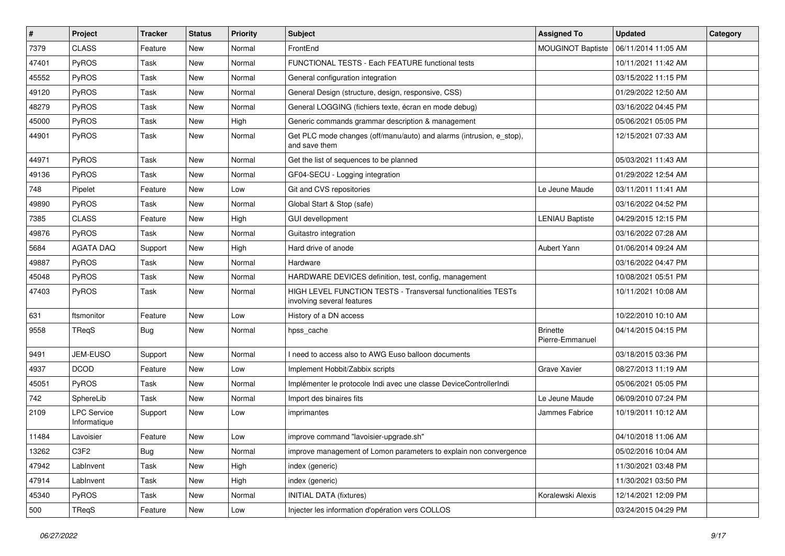| $\#$  | Project                            | <b>Tracker</b> | <b>Status</b> | <b>Priority</b> | Subject                                                                                     | <b>Assigned To</b>                 | <b>Updated</b>      | Category |
|-------|------------------------------------|----------------|---------------|-----------------|---------------------------------------------------------------------------------------------|------------------------------------|---------------------|----------|
| 7379  | <b>CLASS</b>                       | Feature        | New           | Normal          | FrontEnd                                                                                    | <b>MOUGINOT Baptiste</b>           | 06/11/2014 11:05 AM |          |
| 47401 | PyROS                              | Task           | New           | Normal          | FUNCTIONAL TESTS - Each FEATURE functional tests                                            |                                    | 10/11/2021 11:42 AM |          |
| 45552 | <b>PyROS</b>                       | Task           | New           | Normal          | General configuration integration                                                           |                                    | 03/15/2022 11:15 PM |          |
| 49120 | PyROS                              | Task           | New           | Normal          | General Design (structure, design, responsive, CSS)                                         |                                    | 01/29/2022 12:50 AM |          |
| 48279 | PyROS                              | Task           | <b>New</b>    | Normal          | General LOGGING (fichiers texte, écran en mode debug)                                       |                                    | 03/16/2022 04:45 PM |          |
| 45000 | PyROS                              | Task           | New           | High            | Generic commands grammar description & management                                           |                                    | 05/06/2021 05:05 PM |          |
| 44901 | PyROS                              | Task           | New           | Normal          | Get PLC mode changes (off/manu/auto) and alarms (intrusion, e_stop),<br>and save them       |                                    | 12/15/2021 07:33 AM |          |
| 44971 | PyROS                              | Task           | <b>New</b>    | Normal          | Get the list of sequences to be planned                                                     |                                    | 05/03/2021 11:43 AM |          |
| 49136 | PyROS                              | <b>Task</b>    | <b>New</b>    | Normal          | GF04-SECU - Logging integration                                                             |                                    | 01/29/2022 12:54 AM |          |
| 748   | Pipelet                            | Feature        | New           | Low             | Git and CVS repositories                                                                    | Le Jeune Maude                     | 03/11/2011 11:41 AM |          |
| 49890 | PyROS                              | Task           | New           | Normal          | Global Start & Stop (safe)                                                                  |                                    | 03/16/2022 04:52 PM |          |
| 7385  | <b>CLASS</b>                       | Feature        | New           | High            | <b>GUI devellopment</b>                                                                     | <b>LENIAU Baptiste</b>             | 04/29/2015 12:15 PM |          |
| 49876 | PyROS                              | Task           | New           | Normal          | Guitastro integration                                                                       |                                    | 03/16/2022 07:28 AM |          |
| 5684  | <b>AGATA DAQ</b>                   | Support        | New           | High            | Hard drive of anode                                                                         | Aubert Yann                        | 01/06/2014 09:24 AM |          |
| 49887 | PyROS                              | Task           | New           | Normal          | Hardware                                                                                    |                                    | 03/16/2022 04:47 PM |          |
| 45048 | PyROS                              | Task           | New           | Normal          | HARDWARE DEVICES definition, test, config, management                                       |                                    | 10/08/2021 05:51 PM |          |
| 47403 | PyROS                              | Task           | <b>New</b>    | Normal          | HIGH LEVEL FUNCTION TESTS - Transversal functionalities TESTs<br>involving several features |                                    | 10/11/2021 10:08 AM |          |
| 631   | ftsmonitor                         | Feature        | New           | Low             | History of a DN access                                                                      |                                    | 10/22/2010 10:10 AM |          |
| 9558  | TReqS                              | <b>Bug</b>     | New           | Normal          | hpss cache                                                                                  | <b>Brinette</b><br>Pierre-Emmanuel | 04/14/2015 04:15 PM |          |
| 9491  | JEM-EUSO                           | Support        | New           | Normal          | I need to access also to AWG Euso balloon documents                                         |                                    | 03/18/2015 03:36 PM |          |
| 4937  | <b>DCOD</b>                        | Feature        | New           | Low             | Implement Hobbit/Zabbix scripts                                                             | Grave Xavier                       | 08/27/2013 11:19 AM |          |
| 45051 | PyROS                              | Task           | New           | Normal          | Implémenter le protocole Indi avec une classe DeviceControllerIndi                          |                                    | 05/06/2021 05:05 PM |          |
| 742   | SphereLib                          | Task           | <b>New</b>    | Normal          | Import des binaires fits                                                                    | Le Jeune Maude                     | 06/09/2010 07:24 PM |          |
| 2109  | <b>LPC Service</b><br>Informatique | Support        | New           | Low             | imprimantes                                                                                 | Jammes Fabrice                     | 10/19/2011 10:12 AM |          |
| 11484 | Lavoisier                          | Feature        | New           | Low             | improve command "lavoisier-upgrade.sh"                                                      |                                    | 04/10/2018 11:06 AM |          |
| 13262 | C3F2                               | <b>Bug</b>     | New           | Normal          | improve management of Lomon parameters to explain non convergence                           |                                    | 05/02/2016 10:04 AM |          |
| 47942 | LabInvent                          | Task           | New           | High            | index (generic)                                                                             |                                    | 11/30/2021 03:48 PM |          |
| 47914 | LabInvent                          | Task           | New           | High            | index (generic)                                                                             |                                    | 11/30/2021 03:50 PM |          |
| 45340 | PyROS                              | Task           | New           | Normal          | <b>INITIAL DATA (fixtures)</b>                                                              | Koralewski Alexis                  | 12/14/2021 12:09 PM |          |
| 500   | TReqS                              | Feature        | New           | Low             | Injecter les information d'opération vers COLLOS                                            |                                    | 03/24/2015 04:29 PM |          |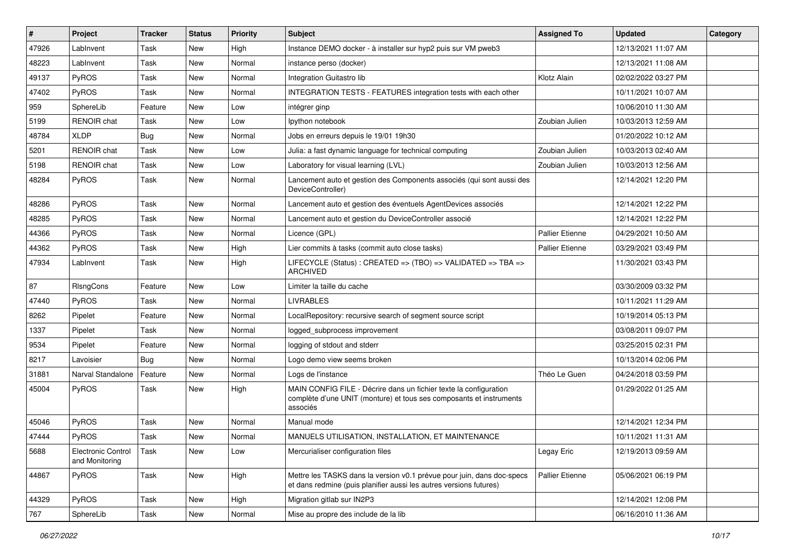| #     | Project                              | <b>Tracker</b> | <b>Status</b> | <b>Priority</b> | <b>Subject</b>                                                                                                                                       | <b>Assigned To</b>     | <b>Updated</b>      | Category |
|-------|--------------------------------------|----------------|---------------|-----------------|------------------------------------------------------------------------------------------------------------------------------------------------------|------------------------|---------------------|----------|
| 47926 | LabInvent                            | Task           | <b>New</b>    | High            | Instance DEMO docker - à installer sur hyp2 puis sur VM pweb3                                                                                        |                        | 12/13/2021 11:07 AM |          |
| 48223 | LabInvent                            | Task           | <b>New</b>    | Normal          | instance perso (docker)                                                                                                                              |                        | 12/13/2021 11:08 AM |          |
| 49137 | <b>PyROS</b>                         | Task           | <b>New</b>    | Normal          | Integration Guitastro lib                                                                                                                            | Klotz Alain            | 02/02/2022 03:27 PM |          |
| 47402 | <b>PyROS</b>                         | Task           | New           | Normal          | INTEGRATION TESTS - FEATURES integration tests with each other                                                                                       |                        | 10/11/2021 10:07 AM |          |
| 959   | SphereLib                            | Feature        | <b>New</b>    | Low             | intégrer ginp                                                                                                                                        |                        | 10/06/2010 11:30 AM |          |
| 5199  | <b>RENOIR</b> chat                   | Task           | New           | Low             | lpython notebook                                                                                                                                     | Zoubian Julien         | 10/03/2013 12:59 AM |          |
| 48784 | <b>XLDP</b>                          | <b>Bug</b>     | <b>New</b>    | Normal          | Jobs en erreurs depuis le 19/01 19h30                                                                                                                |                        | 01/20/2022 10:12 AM |          |
| 5201  | <b>RENOIR chat</b>                   | Task           | <b>New</b>    | Low             | Julia: a fast dynamic language for technical computing                                                                                               | Zoubian Julien         | 10/03/2013 02:40 AM |          |
| 5198  | <b>RENOIR</b> chat                   | Task           | New           | Low             | Laboratory for visual learning (LVL)                                                                                                                 | Zoubian Julien         | 10/03/2013 12:56 AM |          |
| 48284 | <b>PyROS</b>                         | Task           | New           | Normal          | Lancement auto et gestion des Components associés (qui sont aussi des<br>DeviceController)                                                           |                        | 12/14/2021 12:20 PM |          |
| 48286 | PyROS                                | Task           | New           | Normal          | Lancement auto et gestion des éventuels AgentDevices associés                                                                                        |                        | 12/14/2021 12:22 PM |          |
| 48285 | <b>PyROS</b>                         | Task           | New           | Normal          | Lancement auto et gestion du DeviceController associé                                                                                                |                        | 12/14/2021 12:22 PM |          |
| 44366 | <b>PyROS</b>                         | Task           | <b>New</b>    | Normal          | Licence (GPL)                                                                                                                                        | Pallier Etienne        | 04/29/2021 10:50 AM |          |
| 44362 | PyROS                                | Task           | <b>New</b>    | High            | Lier commits à tasks (commit auto close tasks)                                                                                                       | <b>Pallier Etienne</b> | 03/29/2021 03:49 PM |          |
| 47934 | LabInvent                            | Task           | New           | High            | LIFECYCLE (Status) : CREATED => (TBO) => VALIDATED => TBA =><br><b>ARCHIVED</b>                                                                      |                        | 11/30/2021 03:43 PM |          |
| 87    | RIsngCons                            | Feature        | <b>New</b>    | Low             | Limiter la taille du cache                                                                                                                           |                        | 03/30/2009 03:32 PM |          |
| 47440 | PyROS                                | Task           | New           | Normal          | <b>LIVRABLES</b>                                                                                                                                     |                        | 10/11/2021 11:29 AM |          |
| 8262  | Pipelet                              | Feature        | <b>New</b>    | Normal          | LocalRepository: recursive search of segment source script                                                                                           |                        | 10/19/2014 05:13 PM |          |
| 1337  | Pipelet                              | Task           | New           | Normal          | logged subprocess improvement                                                                                                                        |                        | 03/08/2011 09:07 PM |          |
| 9534  | Pipelet                              | Feature        | <b>New</b>    | Normal          | logging of stdout and stderr                                                                                                                         |                        | 03/25/2015 02:31 PM |          |
| 8217  | Lavoisier                            | <b>Bug</b>     | New           | Normal          | Logo demo view seems broken                                                                                                                          |                        | 10/13/2014 02:06 PM |          |
| 31881 | Narval Standalone                    | Feature        | <b>New</b>    | Normal          | Logs de l'instance                                                                                                                                   | Théo Le Guen           | 04/24/2018 03:59 PM |          |
| 45004 | <b>PyROS</b>                         | Task           | New           | High            | MAIN CONFIG FILE - Décrire dans un fichier texte la configuration<br>complète d'une UNIT (monture) et tous ses composants et instruments<br>associés |                        | 01/29/2022 01:25 AM |          |
| 45046 | <b>PyROS</b>                         | Task           | <b>New</b>    | Normal          | Manual mode                                                                                                                                          |                        | 12/14/2021 12:34 PM |          |
| 47444 | <b>PyROS</b>                         | Task           | New           | Normal          | MANUELS UTILISATION, INSTALLATION, ET MAINTENANCE                                                                                                    |                        | 10/11/2021 11:31 AM |          |
| 5688  | Electronic Control<br>and Monitoring | Task           | New           | Low             | Mercurialiser configuration files                                                                                                                    | Legay Eric             | 12/19/2013 09:59 AM |          |
| 44867 | <b>PyROS</b>                         | Task           | New           | High            | Mettre les TASKS dans la version v0.1 prévue pour juin, dans doc-specs<br>et dans redmine (puis planifier aussi les autres versions futures)         | Pallier Etienne        | 05/06/2021 06:19 PM |          |
| 44329 | PyROS                                | Task           | New           | High            | Migration gitlab sur IN2P3                                                                                                                           |                        | 12/14/2021 12:08 PM |          |
| 767   | SphereLib                            | Task           | New           | Normal          | Mise au propre des include de la lib                                                                                                                 |                        | 06/16/2010 11:36 AM |          |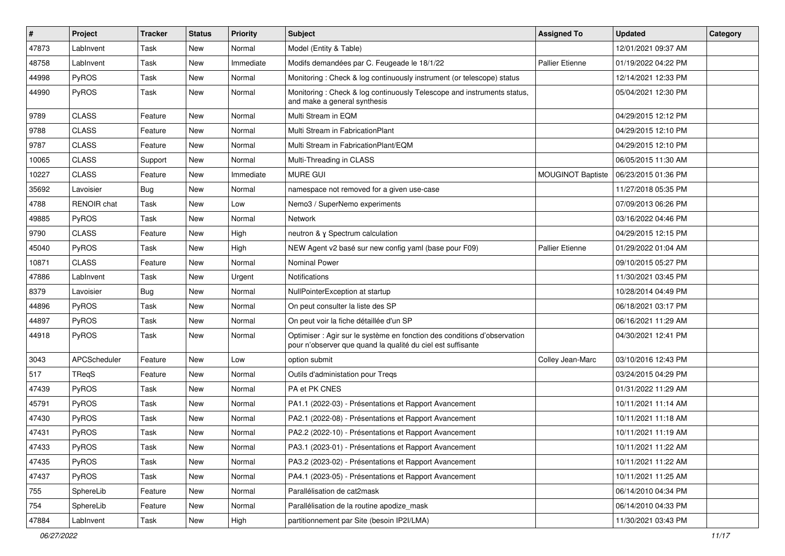| $\vert$ # | Project            | <b>Tracker</b> | <b>Status</b> | <b>Priority</b> | <b>Subject</b>                                                                                                                          | <b>Assigned To</b>       | <b>Updated</b>      | Category |
|-----------|--------------------|----------------|---------------|-----------------|-----------------------------------------------------------------------------------------------------------------------------------------|--------------------------|---------------------|----------|
| 47873     | LabInvent          | Task           | <b>New</b>    | Normal          | Model (Entity & Table)                                                                                                                  |                          | 12/01/2021 09:37 AM |          |
| 48758     | LabInvent          | Task           | <b>New</b>    | Immediate       | Modifs demandées par C. Feugeade le 18/1/22                                                                                             | Pallier Etienne          | 01/19/2022 04:22 PM |          |
| 44998     | <b>PyROS</b>       | Task           | <b>New</b>    | Normal          | Monitoring: Check & log continuously instrument (or telescope) status                                                                   |                          | 12/14/2021 12:33 PM |          |
| 44990     | <b>PyROS</b>       | Task           | New           | Normal          | Monitoring: Check & log continuously Telescope and instruments status,<br>and make a general synthesis                                  |                          | 05/04/2021 12:30 PM |          |
| 9789      | <b>CLASS</b>       | Feature        | New           | Normal          | Multi Stream in EQM                                                                                                                     |                          | 04/29/2015 12:12 PM |          |
| 9788      | <b>CLASS</b>       | Feature        | <b>New</b>    | Normal          | Multi Stream in FabricationPlant                                                                                                        |                          | 04/29/2015 12:10 PM |          |
| 9787      | <b>CLASS</b>       | Feature        | New           | Normal          | Multi Stream in FabricationPlant/EQM                                                                                                    |                          | 04/29/2015 12:10 PM |          |
| 10065     | <b>CLASS</b>       | Support        | <b>New</b>    | Normal          | Multi-Threading in CLASS                                                                                                                |                          | 06/05/2015 11:30 AM |          |
| 10227     | <b>CLASS</b>       | Feature        | <b>New</b>    | Immediate       | <b>MURE GUI</b>                                                                                                                         | <b>MOUGINOT Baptiste</b> | 06/23/2015 01:36 PM |          |
| 35692     | Lavoisier          | <b>Bug</b>     | <b>New</b>    | Normal          | namespace not removed for a given use-case                                                                                              |                          | 11/27/2018 05:35 PM |          |
| 4788      | <b>RENOIR</b> chat | Task           | New           | Low             | Nemo3 / SuperNemo experiments                                                                                                           |                          | 07/09/2013 06:26 PM |          |
| 49885     | <b>PyROS</b>       | Task           | New           | Normal          | Network                                                                                                                                 |                          | 03/16/2022 04:46 PM |          |
| 9790      | <b>CLASS</b>       | Feature        | New           | High            | neutron & y Spectrum calculation                                                                                                        |                          | 04/29/2015 12:15 PM |          |
| 45040     | PyROS              | Task           | <b>New</b>    | High            | NEW Agent v2 basé sur new config yaml (base pour F09)                                                                                   | Pallier Etienne          | 01/29/2022 01:04 AM |          |
| 10871     | <b>CLASS</b>       | Feature        | New           | Normal          | <b>Nominal Power</b>                                                                                                                    |                          | 09/10/2015 05:27 PM |          |
| 47886     | LabInvent          | Task           | New           | Urgent          | Notifications                                                                                                                           |                          | 11/30/2021 03:45 PM |          |
| 8379      | Lavoisier          | <b>Bug</b>     | <b>New</b>    | Normal          | NullPointerException at startup                                                                                                         |                          | 10/28/2014 04:49 PM |          |
| 44896     | <b>PyROS</b>       | Task           | New           | Normal          | On peut consulter la liste des SP                                                                                                       |                          | 06/18/2021 03:17 PM |          |
| 44897     | <b>PyROS</b>       | Task           | <b>New</b>    | Normal          | On peut voir la fiche détaillée d'un SP                                                                                                 |                          | 06/16/2021 11:29 AM |          |
| 44918     | <b>PyROS</b>       | Task           | New           | Normal          | Optimiser : Agir sur le système en fonction des conditions d'observation<br>pour n'observer que quand la qualité du ciel est suffisante |                          | 04/30/2021 12:41 PM |          |
| 3043      | APCScheduler       | Feature        | New           | Low             | option submit                                                                                                                           | Colley Jean-Marc         | 03/10/2016 12:43 PM |          |
| 517       | <b>TRegS</b>       | Feature        | <b>New</b>    | Normal          | Outils d'administation pour Tregs                                                                                                       |                          | 03/24/2015 04:29 PM |          |
| 47439     | PyROS              | Task           | New           | Normal          | PA et PK CNES                                                                                                                           |                          | 01/31/2022 11:29 AM |          |
| 45791     | <b>PyROS</b>       | Task           | <b>New</b>    | Normal          | PA1.1 (2022-03) - Présentations et Rapport Avancement                                                                                   |                          | 10/11/2021 11:14 AM |          |
| 47430     | <b>PyROS</b>       | Task           | New           | Normal          | PA2.1 (2022-08) - Présentations et Rapport Avancement                                                                                   |                          | 10/11/2021 11:18 AM |          |
| 47431     | PyROS              | Task           | <b>New</b>    | Normal          | PA2.2 (2022-10) - Présentations et Rapport Avancement                                                                                   |                          | 10/11/2021 11:19 AM |          |
| 47433     | PyROS              | Task           | New           | Normal          | PA3.1 (2023-01) - Présentations et Rapport Avancement                                                                                   |                          | 10/11/2021 11:22 AM |          |
| 47435     | PyROS              | Task           | New           | Normal          | PA3.2 (2023-02) - Présentations et Rapport Avancement                                                                                   |                          | 10/11/2021 11:22 AM |          |
| 47437     | PyROS              | Task           | New           | Normal          | PA4.1 (2023-05) - Présentations et Rapport Avancement                                                                                   |                          | 10/11/2021 11:25 AM |          |
| 755       | SphereLib          | Feature        | New           | Normal          | Parallélisation de cat2mask                                                                                                             |                          | 06/14/2010 04:34 PM |          |
| 754       | SphereLib          | Feature        | New           | Normal          | Parallélisation de la routine apodize_mask                                                                                              |                          | 06/14/2010 04:33 PM |          |
| 47884     | LabInvent          | Task           | New           | High            | partitionnement par Site (besoin IP2I/LMA)                                                                                              |                          | 11/30/2021 03:43 PM |          |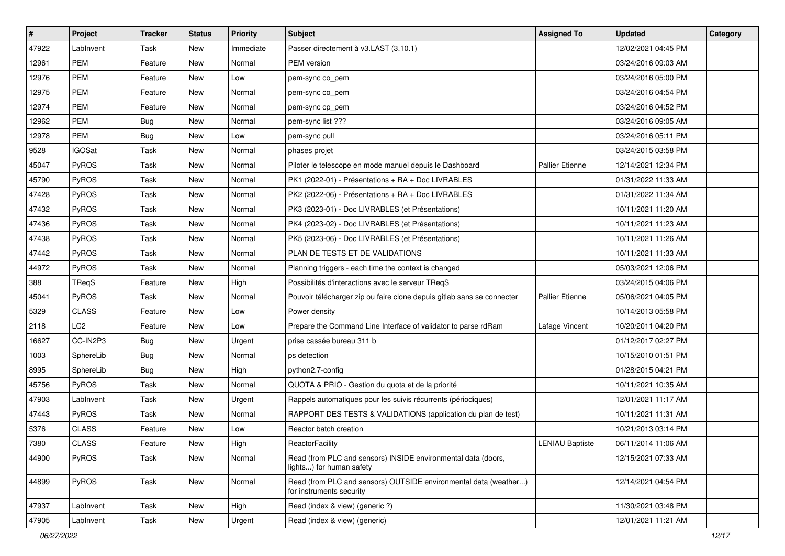| $\vert$ # | Project         | <b>Tracker</b> | <b>Status</b> | <b>Priority</b> | <b>Subject</b>                                                                               | <b>Assigned To</b>     | <b>Updated</b>      | Category |
|-----------|-----------------|----------------|---------------|-----------------|----------------------------------------------------------------------------------------------|------------------------|---------------------|----------|
| 47922     | LabInvent       | Task           | New           | Immediate       | Passer directement à v3.LAST (3.10.1)                                                        |                        | 12/02/2021 04:45 PM |          |
| 12961     | <b>PEM</b>      | Feature        | <b>New</b>    | Normal          | PEM version                                                                                  |                        | 03/24/2016 09:03 AM |          |
| 12976     | <b>PEM</b>      | Feature        | New           | Low             | pem-sync co_pem                                                                              |                        | 03/24/2016 05:00 PM |          |
| 12975     | <b>PEM</b>      | Feature        | New           | Normal          | pem-sync co_pem                                                                              |                        | 03/24/2016 04:54 PM |          |
| 12974     | <b>PEM</b>      | Feature        | New           | Normal          | pem-sync cp_pem                                                                              |                        | 03/24/2016 04:52 PM |          |
| 12962     | <b>PEM</b>      | <b>Bug</b>     | New           | Normal          | pem-sync list ???                                                                            |                        | 03/24/2016 09:05 AM |          |
| 12978     | <b>PEM</b>      | <b>Bug</b>     | <b>New</b>    | Low             | pem-sync pull                                                                                |                        | 03/24/2016 05:11 PM |          |
| 9528      | <b>IGOSat</b>   | Task           | New           | Normal          | phases projet                                                                                |                        | 03/24/2015 03:58 PM |          |
| 45047     | PyROS           | Task           | New           | Normal          | Piloter le telescope en mode manuel depuis le Dashboard                                      | Pallier Etienne        | 12/14/2021 12:34 PM |          |
| 45790     | PyROS           | Task           | <b>New</b>    | Normal          | PK1 (2022-01) - Présentations + RA + Doc LIVRABLES                                           |                        | 01/31/2022 11:33 AM |          |
| 47428     | PyROS           | Task           | New           | Normal          | PK2 (2022-06) - Présentations + RA + Doc LIVRABLES                                           |                        | 01/31/2022 11:34 AM |          |
| 47432     | PyROS           | Task           | <b>New</b>    | Normal          | PK3 (2023-01) - Doc LIVRABLES (et Présentations)                                             |                        | 10/11/2021 11:20 AM |          |
| 47436     | PyROS           | Task           | New           | Normal          | PK4 (2023-02) - Doc LIVRABLES (et Présentations)                                             |                        | 10/11/2021 11:23 AM |          |
| 47438     | PyROS           | Task           | New           | Normal          | PK5 (2023-06) - Doc LIVRABLES (et Présentations)                                             |                        | 10/11/2021 11:26 AM |          |
| 47442     | PyROS           | Task           | <b>New</b>    | Normal          | PLAN DE TESTS ET DE VALIDATIONS                                                              |                        | 10/11/2021 11:33 AM |          |
| 44972     | <b>PyROS</b>    | Task           | New           | Normal          | Planning triggers - each time the context is changed                                         |                        | 05/03/2021 12:06 PM |          |
| 388       | TReqS           | Feature        | <b>New</b>    | High            | Possibilités d'interactions avec le serveur TReqS                                            |                        | 03/24/2015 04:06 PM |          |
| 45041     | PyROS           | Task           | New           | Normal          | Pouvoir télécharger zip ou faire clone depuis gitlab sans se connecter                       | Pallier Etienne        | 05/06/2021 04:05 PM |          |
| 5329      | <b>CLASS</b>    | Feature        | New           | Low             | Power density                                                                                |                        | 10/14/2013 05:58 PM |          |
| 2118      | LC <sub>2</sub> | Feature        | New           | Low             | Prepare the Command Line Interface of validator to parse rdRam                               | Lafage Vincent         | 10/20/2011 04:20 PM |          |
| 16627     | CC-IN2P3        | <b>Bug</b>     | New           | Urgent          | prise cassée bureau 311 b                                                                    |                        | 01/12/2017 02:27 PM |          |
| 1003      | SphereLib       | Bug            | New           | Normal          | ps detection                                                                                 |                        | 10/15/2010 01:51 PM |          |
| 8995      | SphereLib       | <b>Bug</b>     | <b>New</b>    | High            | python2.7-config                                                                             |                        | 01/28/2015 04:21 PM |          |
| 45756     | PyROS           | Task           | New           | Normal          | QUOTA & PRIO - Gestion du quota et de la priorité                                            |                        | 10/11/2021 10:35 AM |          |
| 47903     | LabInvent       | Task           | New           | Urgent          | Rappels automatiques pour les suivis récurrents (périodiques)                                |                        | 12/01/2021 11:17 AM |          |
| 47443     | PyROS           | Task           | New           | Normal          | RAPPORT DES TESTS & VALIDATIONS (application du plan de test)                                |                        | 10/11/2021 11:31 AM |          |
| 5376      | <b>CLASS</b>    | Feature        | New           | Low             | Reactor batch creation                                                                       |                        | 10/21/2013 03:14 PM |          |
| 7380      | <b>CLASS</b>    | Feature        | New           | High            | ReactorFacility                                                                              | <b>LENIAU Baptiste</b> | 06/11/2014 11:06 AM |          |
| 44900     | PyROS           | Task           | New           | Normal          | Read (from PLC and sensors) INSIDE environmental data (doors,<br>lights) for human safety    |                        | 12/15/2021 07:33 AM |          |
| 44899     | PyROS           | Task           | New           | Normal          | Read (from PLC and sensors) OUTSIDE environmental data (weather)<br>for instruments security |                        | 12/14/2021 04:54 PM |          |
| 47937     | LabInvent       | Task           | New           | High            | Read (index & view) (generic ?)                                                              |                        | 11/30/2021 03:48 PM |          |
| 47905     | LabInvent       | Task           | New           | Urgent          | Read (index & view) (generic)                                                                |                        | 12/01/2021 11:21 AM |          |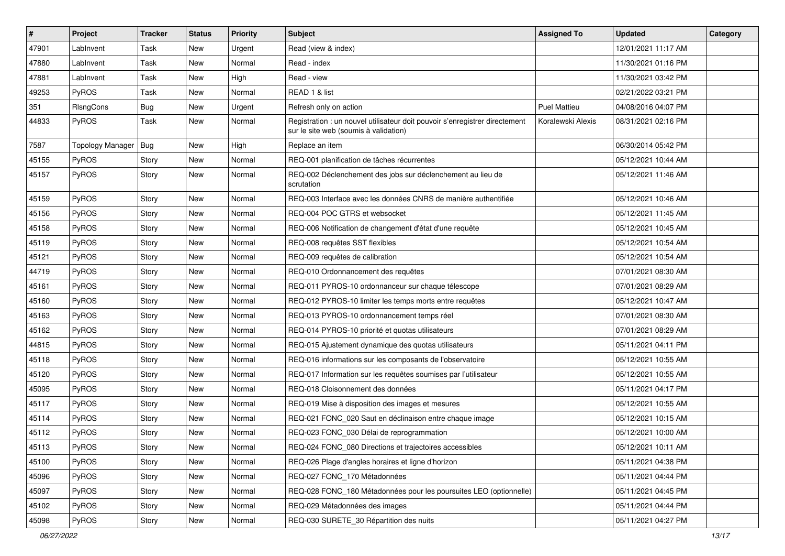| $\vert$ # | Project                 | <b>Tracker</b> | <b>Status</b> | <b>Priority</b> | <b>Subject</b>                                                                                                       | <b>Assigned To</b>  | <b>Updated</b>      | Category |
|-----------|-------------------------|----------------|---------------|-----------------|----------------------------------------------------------------------------------------------------------------------|---------------------|---------------------|----------|
| 47901     | LabInvent               | Task           | New           | Urgent          | Read (view & index)                                                                                                  |                     | 12/01/2021 11:17 AM |          |
| 47880     | LabInvent               | Task           | <b>New</b>    | Normal          | Read - index                                                                                                         |                     | 11/30/2021 01:16 PM |          |
| 47881     | LabInvent               | Task           | <b>New</b>    | High            | Read - view                                                                                                          |                     | 11/30/2021 03:42 PM |          |
| 49253     | PyROS                   | Task           | New           | Normal          | READ 1 & list                                                                                                        |                     | 02/21/2022 03:21 PM |          |
| 351       | RIsngCons               | <b>Bug</b>     | <b>New</b>    | Urgent          | Refresh only on action                                                                                               | <b>Puel Mattieu</b> | 04/08/2016 04:07 PM |          |
| 44833     | PyROS                   | Task           | New           | Normal          | Registration : un nouvel utilisateur doit pouvoir s'enregistrer directement<br>sur le site web (soumis à validation) | Koralewski Alexis   | 08/31/2021 02:16 PM |          |
| 7587      | <b>Topology Manager</b> | Bug            | New           | High            | Replace an item                                                                                                      |                     | 06/30/2014 05:42 PM |          |
| 45155     | PyROS                   | Story          | New           | Normal          | REQ-001 planification de tâches récurrentes                                                                          |                     | 05/12/2021 10:44 AM |          |
| 45157     | PyROS                   | Story          | <b>New</b>    | Normal          | REQ-002 Déclenchement des jobs sur déclenchement au lieu de<br>scrutation                                            |                     | 05/12/2021 11:46 AM |          |
| 45159     | PyROS                   | Story          | <b>New</b>    | Normal          | REQ-003 Interface avec les données CNRS de manière authentifiée                                                      |                     | 05/12/2021 10:46 AM |          |
| 45156     | PyROS                   | Story          | <b>New</b>    | Normal          | REQ-004 POC GTRS et websocket                                                                                        |                     | 05/12/2021 11:45 AM |          |
| 45158     | PyROS                   | Story          | New           | Normal          | REQ-006 Notification de changement d'état d'une requête                                                              |                     | 05/12/2021 10:45 AM |          |
| 45119     | PyROS                   | Story          | <b>New</b>    | Normal          | REQ-008 requêtes SST flexibles                                                                                       |                     | 05/12/2021 10:54 AM |          |
| 45121     | PyROS                   | Story          | New           | Normal          | REQ-009 requêtes de calibration                                                                                      |                     | 05/12/2021 10:54 AM |          |
| 44719     | PyROS                   | Story          | New           | Normal          | REQ-010 Ordonnancement des requêtes                                                                                  |                     | 07/01/2021 08:30 AM |          |
| 45161     | PyROS                   | Story          | <b>New</b>    | Normal          | REQ-011 PYROS-10 ordonnanceur sur chaque télescope                                                                   |                     | 07/01/2021 08:29 AM |          |
| 45160     | PyROS                   | Story          | New           | Normal          | REQ-012 PYROS-10 limiter les temps morts entre requêtes                                                              |                     | 05/12/2021 10:47 AM |          |
| 45163     | PyROS                   | Story          | <b>New</b>    | Normal          | REQ-013 PYROS-10 ordonnancement temps réel                                                                           |                     | 07/01/2021 08:30 AM |          |
| 45162     | PyROS                   | Story          | New           | Normal          | REQ-014 PYROS-10 priorité et quotas utilisateurs                                                                     |                     | 07/01/2021 08:29 AM |          |
| 44815     | PyROS                   | Story          | New           | Normal          | REQ-015 Ajustement dynamique des quotas utilisateurs                                                                 |                     | 05/11/2021 04:11 PM |          |
| 45118     | PyROS                   | Story          | <b>New</b>    | Normal          | REQ-016 informations sur les composants de l'observatoire                                                            |                     | 05/12/2021 10:55 AM |          |
| 45120     | PyROS                   | Story          | New           | Normal          | REQ-017 Information sur les requêtes soumises par l'utilisateur                                                      |                     | 05/12/2021 10:55 AM |          |
| 45095     | PyROS                   | Story          | New           | Normal          | REQ-018 Cloisonnement des données                                                                                    |                     | 05/11/2021 04:17 PM |          |
| 45117     | PyROS                   | Story          | <b>New</b>    | Normal          | REQ-019 Mise à disposition des images et mesures                                                                     |                     | 05/12/2021 10:55 AM |          |
| 45114     | PyROS                   | Story          | New           | Normal          | REQ-021 FONC_020 Saut en déclinaison entre chaque image                                                              |                     | 05/12/2021 10:15 AM |          |
| 45112     | PyROS                   | Story          | <b>New</b>    | Normal          | REQ-023 FONC 030 Délai de reprogrammation                                                                            |                     | 05/12/2021 10:00 AM |          |
| 45113     | PyROS                   | Story          | New           | Normal          | REQ-024 FONC_080 Directions et trajectoires accessibles                                                              |                     | 05/12/2021 10:11 AM |          |
| 45100     | PyROS                   | Story          | New           | Normal          | REQ-026 Plage d'angles horaires et ligne d'horizon                                                                   |                     | 05/11/2021 04:38 PM |          |
| 45096     | PyROS                   | Story          | New           | Normal          | REQ-027 FONC 170 Métadonnées                                                                                         |                     | 05/11/2021 04:44 PM |          |
| 45097     | PyROS                   | Story          | New           | Normal          | REQ-028 FONC 180 Métadonnées pour les poursuites LEO (optionnelle)                                                   |                     | 05/11/2021 04:45 PM |          |
| 45102     | PyROS                   | Story          | New           | Normal          | REQ-029 Métadonnées des images                                                                                       |                     | 05/11/2021 04:44 PM |          |
| 45098     | PyROS                   | Story          | New           | Normal          | REQ-030 SURETE_30 Répartition des nuits                                                                              |                     | 05/11/2021 04:27 PM |          |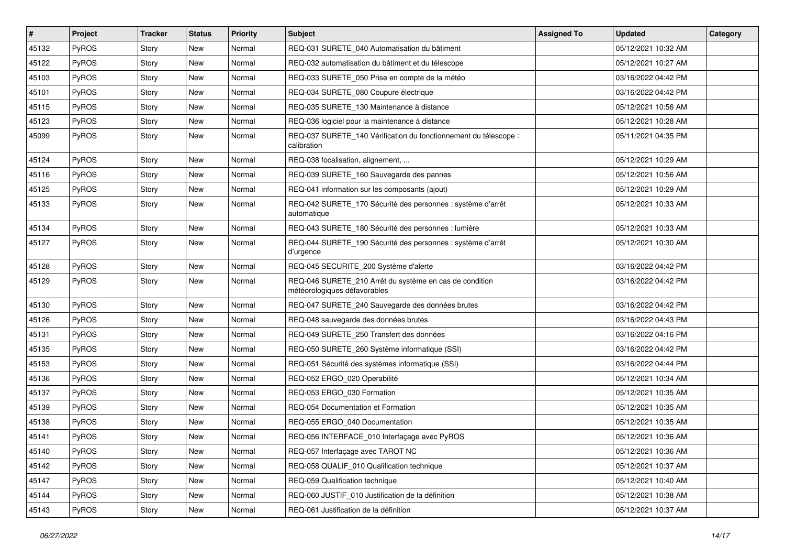| $\vert$ # | Project      | <b>Tracker</b> | <b>Status</b> | <b>Priority</b> | <b>Subject</b>                                                                          | <b>Assigned To</b> | <b>Updated</b>      | Category |
|-----------|--------------|----------------|---------------|-----------------|-----------------------------------------------------------------------------------------|--------------------|---------------------|----------|
| 45132     | PyROS        | Story          | New           | Normal          | REQ-031 SURETE_040 Automatisation du bâtiment                                           |                    | 05/12/2021 10:32 AM |          |
| 45122     | PyROS        | Story          | New           | Normal          | REQ-032 automatisation du bâtiment et du télescope                                      |                    | 05/12/2021 10:27 AM |          |
| 45103     | PyROS        | Story          | New           | Normal          | REQ-033 SURETE 050 Prise en compte de la météo                                          |                    | 03/16/2022 04:42 PM |          |
| 45101     | PyROS        | Story          | New           | Normal          | REQ-034 SURETE_080 Coupure électrique                                                   |                    | 03/16/2022 04:42 PM |          |
| 45115     | PyROS        | Story          | New           | Normal          | REQ-035 SURETE_130 Maintenance à distance                                               |                    | 05/12/2021 10:56 AM |          |
| 45123     | PyROS        | Story          | New           | Normal          | REQ-036 logiciel pour la maintenance à distance                                         |                    | 05/12/2021 10:28 AM |          |
| 45099     | PyROS        | Story          | <b>New</b>    | Normal          | REQ-037 SURETE 140 Vérification du fonctionnement du télescope :<br>calibration         |                    | 05/11/2021 04:35 PM |          |
| 45124     | PyROS        | Story          | New           | Normal          | REQ-038 focalisation, alignement,                                                       |                    | 05/12/2021 10:29 AM |          |
| 45116     | PyROS        | Story          | New           | Normal          | REQ-039 SURETE_160 Sauvegarde des pannes                                                |                    | 05/12/2021 10:56 AM |          |
| 45125     | <b>PyROS</b> | Story          | New           | Normal          | REQ-041 information sur les composants (ajout)                                          |                    | 05/12/2021 10:29 AM |          |
| 45133     | PyROS        | Story          | New           | Normal          | REQ-042 SURETE_170 Sécurité des personnes : système d'arrêt<br>automatique              |                    | 05/12/2021 10:33 AM |          |
| 45134     | PyROS        | Story          | New           | Normal          | REQ-043 SURETE_180 Sécurité des personnes : lumière                                     |                    | 05/12/2021 10:33 AM |          |
| 45127     | PyROS        | Story          | New           | Normal          | REQ-044 SURETE_190 Sécurité des personnes : système d'arrêt<br>d'urgence                |                    | 05/12/2021 10:30 AM |          |
| 45128     | PyROS        | Story          | New           | Normal          | REQ-045 SECURITE_200 Système d'alerte                                                   |                    | 03/16/2022 04:42 PM |          |
| 45129     | PyROS        | Story          | New           | Normal          | REQ-046 SURETE_210 Arrêt du système en cas de condition<br>météorologiques défavorables |                    | 03/16/2022 04:42 PM |          |
| 45130     | PyROS        | Story          | New           | Normal          | REQ-047 SURETE_240 Sauvegarde des données brutes                                        |                    | 03/16/2022 04:42 PM |          |
| 45126     | PyROS        | Story          | New           | Normal          | REQ-048 sauvegarde des données brutes                                                   |                    | 03/16/2022 04:43 PM |          |
| 45131     | PyROS        | Story          | New           | Normal          | REQ-049 SURETE_250 Transfert des données                                                |                    | 03/16/2022 04:16 PM |          |
| 45135     | PyROS        | Story          | <b>New</b>    | Normal          | REQ-050 SURETE_260 Système informatique (SSI)                                           |                    | 03/16/2022 04:42 PM |          |
| 45153     | PyROS        | Story          | New           | Normal          | REQ-051 Sécurité des systèmes informatique (SSI)                                        |                    | 03/16/2022 04:44 PM |          |
| 45136     | PyROS        | Story          | New           | Normal          | REQ-052 ERGO_020 Operabilité                                                            |                    | 05/12/2021 10:34 AM |          |
| 45137     | PyROS        | Story          | New           | Normal          | REQ-053 ERGO_030 Formation                                                              |                    | 05/12/2021 10:35 AM |          |
| 45139     | PyROS        | Story          | New           | Normal          | REQ-054 Documentation et Formation                                                      |                    | 05/12/2021 10:35 AM |          |
| 45138     | PyROS        | Story          | New           | Normal          | REQ-055 ERGO 040 Documentation                                                          |                    | 05/12/2021 10:35 AM |          |
| 45141     | PyROS        | Story          | New           | Normal          | REQ-056 INTERFACE_010 Interfaçage avec PyROS                                            |                    | 05/12/2021 10:36 AM |          |
| 45140     | PyROS        | Story          | New           | Normal          | REQ-057 Interfaçage avec TAROT NC                                                       |                    | 05/12/2021 10:36 AM |          |
| 45142     | PyROS        | Story          | New           | Normal          | REQ-058 QUALIF_010 Qualification technique                                              |                    | 05/12/2021 10:37 AM |          |
| 45147     | PyROS        | Story          | New           | Normal          | REQ-059 Qualification technique                                                         |                    | 05/12/2021 10:40 AM |          |
| 45144     | PyROS        | Story          | New           | Normal          | REQ-060 JUSTIF_010 Justification de la définition                                       |                    | 05/12/2021 10:38 AM |          |
| 45143     | PyROS        | Story          | New           | Normal          | REQ-061 Justification de la définition                                                  |                    | 05/12/2021 10:37 AM |          |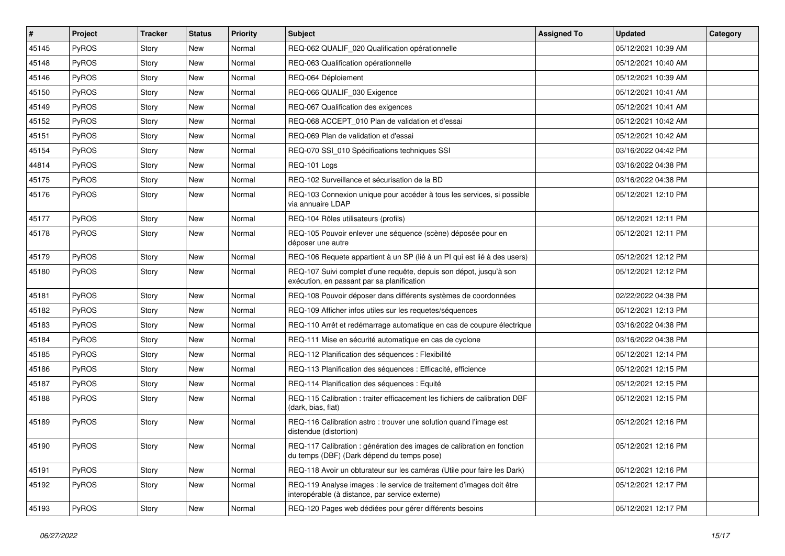| $\vert$ # | Project      | <b>Tracker</b> | <b>Status</b> | <b>Priority</b> | <b>Subject</b>                                                                                                          | <b>Assigned To</b> | <b>Updated</b>      | Category |
|-----------|--------------|----------------|---------------|-----------------|-------------------------------------------------------------------------------------------------------------------------|--------------------|---------------------|----------|
| 45145     | PyROS        | Story          | New           | Normal          | REQ-062 QUALIF_020 Qualification opérationnelle                                                                         |                    | 05/12/2021 10:39 AM |          |
| 45148     | PyROS        | Story          | <b>New</b>    | Normal          | REQ-063 Qualification opérationnelle                                                                                    |                    | 05/12/2021 10:40 AM |          |
| 45146     | PyROS        | Story          | New           | Normal          | REQ-064 Déploiement                                                                                                     |                    | 05/12/2021 10:39 AM |          |
| 45150     | PyROS        | Story          | New           | Normal          | REQ-066 QUALIF_030 Exigence                                                                                             |                    | 05/12/2021 10:41 AM |          |
| 45149     | PyROS        | Story          | <b>New</b>    | Normal          | REQ-067 Qualification des exigences                                                                                     |                    | 05/12/2021 10:41 AM |          |
| 45152     | PyROS        | Story          | New           | Normal          | REQ-068 ACCEPT_010 Plan de validation et d'essai                                                                        |                    | 05/12/2021 10:42 AM |          |
| 45151     | PyROS        | Story          | <b>New</b>    | Normal          | REQ-069 Plan de validation et d'essai                                                                                   |                    | 05/12/2021 10:42 AM |          |
| 45154     | <b>PyROS</b> | Story          | New           | Normal          | REQ-070 SSI_010 Spécifications techniques SSI                                                                           |                    | 03/16/2022 04:42 PM |          |
| 44814     | PyROS        | Story          | New           | Normal          | REQ-101 Logs                                                                                                            |                    | 03/16/2022 04:38 PM |          |
| 45175     | PyROS        | Story          | <b>New</b>    | Normal          | REQ-102 Surveillance et sécurisation de la BD                                                                           |                    | 03/16/2022 04:38 PM |          |
| 45176     | PyROS        | Story          | New           | Normal          | REQ-103 Connexion unique pour accéder à tous les services, si possible<br>via annuaire LDAP                             |                    | 05/12/2021 12:10 PM |          |
| 45177     | PyROS        | Story          | New           | Normal          | REQ-104 Rôles utilisateurs (profils)                                                                                    |                    | 05/12/2021 12:11 PM |          |
| 45178     | PyROS        | Story          | New           | Normal          | REQ-105 Pouvoir enlever une séquence (scène) déposée pour en<br>déposer une autre                                       |                    | 05/12/2021 12:11 PM |          |
| 45179     | PyROS        | Story          | New           | Normal          | REQ-106 Requete appartient à un SP (lié à un PI qui est lié à des users)                                                |                    | 05/12/2021 12:12 PM |          |
| 45180     | <b>PyROS</b> | Story          | New           | Normal          | REQ-107 Suivi complet d'une requête, depuis son dépot, jusqu'à son<br>exécution, en passant par sa planification        |                    | 05/12/2021 12:12 PM |          |
| 45181     | PyROS        | Story          | <b>New</b>    | Normal          | REQ-108 Pouvoir déposer dans différents systèmes de coordonnées                                                         |                    | 02/22/2022 04:38 PM |          |
| 45182     | PyROS        | Story          | New           | Normal          | REQ-109 Afficher infos utiles sur les requetes/séquences                                                                |                    | 05/12/2021 12:13 PM |          |
| 45183     | PyROS        | Story          | New           | Normal          | REQ-110 Arrêt et redémarrage automatique en cas de coupure électrique                                                   |                    | 03/16/2022 04:38 PM |          |
| 45184     | PyROS        | Story          | <b>New</b>    | Normal          | REQ-111 Mise en sécurité automatique en cas de cyclone                                                                  |                    | 03/16/2022 04:38 PM |          |
| 45185     | PyROS        | Story          | <b>New</b>    | Normal          | REQ-112 Planification des séquences : Flexibilité                                                                       |                    | 05/12/2021 12:14 PM |          |
| 45186     | <b>PyROS</b> | Story          | New           | Normal          | REQ-113 Planification des séquences : Efficacité, efficience                                                            |                    | 05/12/2021 12:15 PM |          |
| 45187     | PyROS        | Story          | New           | Normal          | REQ-114 Planification des séquences : Equité                                                                            |                    | 05/12/2021 12:15 PM |          |
| 45188     | <b>PyROS</b> | Story          | New           | Normal          | REQ-115 Calibration : traiter efficacement les fichiers de calibration DBF<br>(dark, bias, flat)                        |                    | 05/12/2021 12:15 PM |          |
| 45189     | PyROS        | Story          | New           | Normal          | REQ-116 Calibration astro: trouver une solution quand l'image est<br>distendue (distortion)                             |                    | 05/12/2021 12:16 PM |          |
| 45190     | $ $ PyROS    | Story          | I New         | Normal          | REQ-117 Calibration : génération des images de calibration en fonction<br>du temps (DBF) (Dark dépend du temps pose)    |                    | 05/12/2021 12:16 PM |          |
| 45191     | PyROS        | Story          | New           | Normal          | REQ-118 Avoir un obturateur sur les caméras (Utile pour faire les Dark)                                                 |                    | 05/12/2021 12:16 PM |          |
| 45192     | PyROS        | Story          | New           | Normal          | REQ-119 Analyse images : le service de traitement d'images doit être<br>interopérable (à distance, par service externe) |                    | 05/12/2021 12:17 PM |          |
| 45193     | PyROS        | Story          | New           | Normal          | REQ-120 Pages web dédiées pour gérer différents besoins                                                                 |                    | 05/12/2021 12:17 PM |          |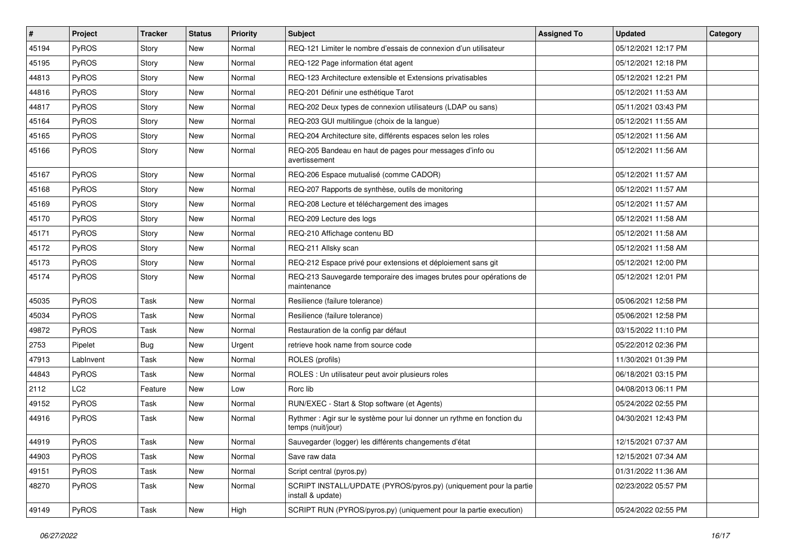| $\vert$ # | Project         | <b>Tracker</b> | <b>Status</b> | <b>Priority</b> | <b>Subject</b>                                                                              | <b>Assigned To</b> | <b>Updated</b>      | Category |
|-----------|-----------------|----------------|---------------|-----------------|---------------------------------------------------------------------------------------------|--------------------|---------------------|----------|
| 45194     | PyROS           | Story          | New           | Normal          | REQ-121 Limiter le nombre d'essais de connexion d'un utilisateur                            |                    | 05/12/2021 12:17 PM |          |
| 45195     | PyROS           | Story          | <b>New</b>    | Normal          | REQ-122 Page information état agent                                                         |                    | 05/12/2021 12:18 PM |          |
| 44813     | PyROS           | Story          | New           | Normal          | REQ-123 Architecture extensible et Extensions privatisables                                 |                    | 05/12/2021 12:21 PM |          |
| 44816     | PyROS           | Story          | New           | Normal          | REQ-201 Définir une esthétique Tarot                                                        |                    | 05/12/2021 11:53 AM |          |
| 44817     | PyROS           | Story          | <b>New</b>    | Normal          | REQ-202 Deux types de connexion utilisateurs (LDAP ou sans)                                 |                    | 05/11/2021 03:43 PM |          |
| 45164     | PyROS           | Story          | New           | Normal          | REQ-203 GUI multilingue (choix de la langue)                                                |                    | 05/12/2021 11:55 AM |          |
| 45165     | PyROS           | Story          | <b>New</b>    | Normal          | REQ-204 Architecture site, différents espaces selon les roles                               |                    | 05/12/2021 11:56 AM |          |
| 45166     | <b>PyROS</b>    | Story          | New           | Normal          | REQ-205 Bandeau en haut de pages pour messages d'info ou<br>avertissement                   |                    | 05/12/2021 11:56 AM |          |
| 45167     | PyROS           | Story          | New           | Normal          | REQ-206 Espace mutualisé (comme CADOR)                                                      |                    | 05/12/2021 11:57 AM |          |
| 45168     | <b>PyROS</b>    | Story          | New           | Normal          | REQ-207 Rapports de synthèse, outils de monitoring                                          |                    | 05/12/2021 11:57 AM |          |
| 45169     | PyROS           | Story          | <b>New</b>    | Normal          | REQ-208 Lecture et téléchargement des images                                                |                    | 05/12/2021 11:57 AM |          |
| 45170     | PyROS           | Story          | New           | Normal          | REQ-209 Lecture des logs                                                                    |                    | 05/12/2021 11:58 AM |          |
| 45171     | PyROS           | Story          | New           | Normal          | REQ-210 Affichage contenu BD                                                                |                    | 05/12/2021 11:58 AM |          |
| 45172     | PyROS           | Story          | <b>New</b>    | Normal          | REQ-211 Allsky scan                                                                         |                    | 05/12/2021 11:58 AM |          |
| 45173     | PyROS           | Story          | <b>New</b>    | Normal          | REQ-212 Espace privé pour extensions et déploiement sans git                                |                    | 05/12/2021 12:00 PM |          |
| 45174     | PyROS           | Story          | New           | Normal          | REQ-213 Sauvegarde temporaire des images brutes pour opérations de<br>maintenance           |                    | 05/12/2021 12:01 PM |          |
| 45035     | PyROS           | Task           | New           | Normal          | Resilience (failure tolerance)                                                              |                    | 05/06/2021 12:58 PM |          |
| 45034     | PyROS           | Task           | <b>New</b>    | Normal          | Resilience (failure tolerance)                                                              |                    | 05/06/2021 12:58 PM |          |
| 49872     | PyROS           | Task           | New           | Normal          | Restauration de la config par défaut                                                        |                    | 03/15/2022 11:10 PM |          |
| 2753      | Pipelet         | <b>Bug</b>     | New           | Urgent          | retrieve hook name from source code                                                         |                    | 05/22/2012 02:36 PM |          |
| 47913     | LabInvent       | Task           | <b>New</b>    | Normal          | ROLES (profils)                                                                             |                    | 11/30/2021 01:39 PM |          |
| 44843     | PyROS           | Task           | <b>New</b>    | Normal          | ROLES : Un utilisateur peut avoir plusieurs roles                                           |                    | 06/18/2021 03:15 PM |          |
| 2112      | LC <sub>2</sub> | Feature        | New           | Low             | Rorc lib                                                                                    |                    | 04/08/2013 06:11 PM |          |
| 49152     | PyROS           | Task           | <b>New</b>    | Normal          | RUN/EXEC - Start & Stop software (et Agents)                                                |                    | 05/24/2022 02:55 PM |          |
| 44916     | PyROS           | Task           | New           | Normal          | Rythmer : Agir sur le système pour lui donner un rythme en fonction du<br>temps (nuit/jour) |                    | 04/30/2021 12:43 PM |          |
| 44919     | PyROS           | <b>Task</b>    | New           | Normal          | Sauvegarder (logger) les différents changements d'état                                      |                    | 12/15/2021 07:37 AM |          |
| 44903     | PyROS           | Task           | New           | Normal          | Save raw data                                                                               |                    | 12/15/2021 07:34 AM |          |
| 49151     | PyROS           | Task           | New           | Normal          | Script central (pyros.py)                                                                   |                    | 01/31/2022 11:36 AM |          |
| 48270     | PyROS           | Task           | New           | Normal          | SCRIPT INSTALL/UPDATE (PYROS/pyros.py) (uniquement pour la partie<br>install & update)      |                    | 02/23/2022 05:57 PM |          |
| 49149     | PyROS           | Task           | New           | High            | SCRIPT RUN (PYROS/pyros.py) (uniquement pour la partie execution)                           |                    | 05/24/2022 02:55 PM |          |